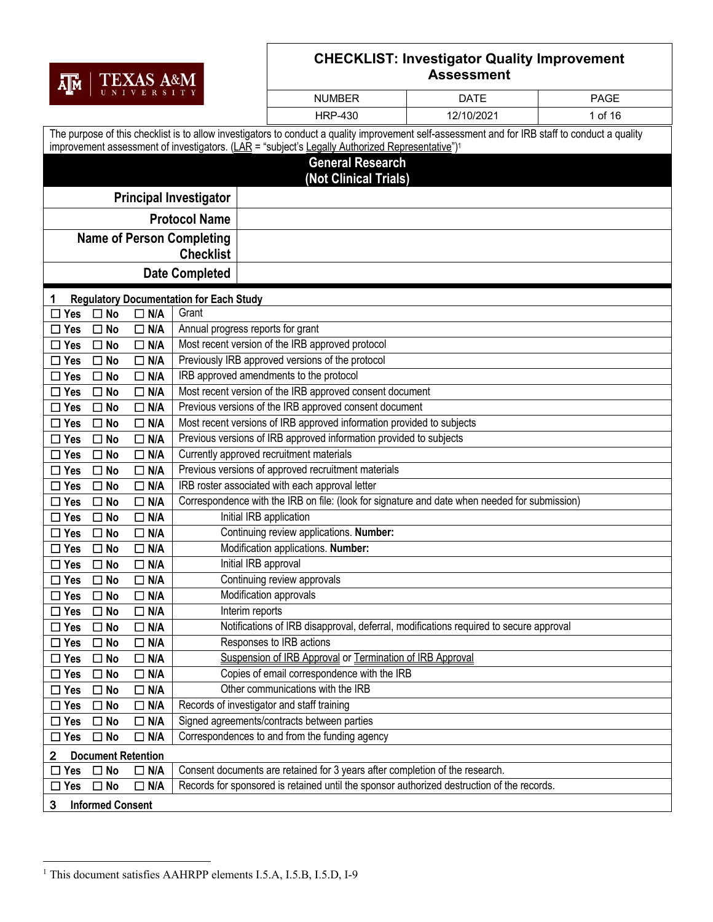|                             |                                        |                          |                                                |                                                                                                                                                  | <b>CHECKLIST: Investigator Quality Improvement</b> |             |  |  |
|-----------------------------|----------------------------------------|--------------------------|------------------------------------------------|--------------------------------------------------------------------------------------------------------------------------------------------------|----------------------------------------------------|-------------|--|--|
| Д∏м                         |                                        | TEXAS A&M                |                                                | <b>Assessment</b>                                                                                                                                |                                                    |             |  |  |
|                             |                                        |                          |                                                | <b>NUMBER</b>                                                                                                                                    | <b>DATE</b>                                        | <b>PAGE</b> |  |  |
|                             |                                        |                          |                                                | <b>HRP-430</b>                                                                                                                                   | 12/10/2021                                         | 1 of 16     |  |  |
|                             |                                        |                          |                                                | The purpose of this checklist is to allow investigators to conduct a quality improvement self-assessment and for IRB staff to conduct a quality  |                                                    |             |  |  |
|                             |                                        |                          |                                                | improvement assessment of investigators. (LAR = "subject's Legally Authorized Representative") <sup>1</sup>                                      |                                                    |             |  |  |
|                             |                                        |                          |                                                | <b>General Research</b>                                                                                                                          |                                                    |             |  |  |
|                             |                                        |                          |                                                | (Not Clinical Trials)                                                                                                                            |                                                    |             |  |  |
|                             |                                        |                          | <b>Principal Investigator</b>                  |                                                                                                                                                  |                                                    |             |  |  |
|                             |                                        |                          | <b>Protocol Name</b>                           |                                                                                                                                                  |                                                    |             |  |  |
|                             |                                        |                          | <b>Name of Person Completing</b>               |                                                                                                                                                  |                                                    |             |  |  |
|                             |                                        |                          | <b>Checklist</b>                               |                                                                                                                                                  |                                                    |             |  |  |
|                             |                                        |                          | <b>Date Completed</b>                          |                                                                                                                                                  |                                                    |             |  |  |
| 1                           |                                        |                          | <b>Regulatory Documentation for Each Study</b> |                                                                                                                                                  |                                                    |             |  |  |
| $\Box$ Yes                  | $\square$ No                           | $\Box$ N/A               | Grant                                          |                                                                                                                                                  |                                                    |             |  |  |
| $\Box$ Yes                  | $\square$ No                           | $\Box$ N/A               | Annual progress reports for grant              |                                                                                                                                                  |                                                    |             |  |  |
| $\Box$ Yes                  | $\square$ No                           | $\Box$ N/A               |                                                | Most recent version of the IRB approved protocol                                                                                                 |                                                    |             |  |  |
| $\Box$ Yes                  | $\Box$ No                              | $\Box$ N/A               |                                                | Previously IRB approved versions of the protocol                                                                                                 |                                                    |             |  |  |
| $\Box$ Yes                  | $\square$ No                           | $\Box$ N/A               |                                                | IRB approved amendments to the protocol                                                                                                          |                                                    |             |  |  |
| $\Box$ Yes                  | $\square$ No                           | $\Box$ N/A               |                                                | Most recent version of the IRB approved consent document                                                                                         |                                                    |             |  |  |
| $\Box$ Yes                  | $\square$ No                           | $\Box$ N/A               |                                                | Previous versions of the IRB approved consent document                                                                                           |                                                    |             |  |  |
| $\square$ Yes               | $\Box$ No                              | $\Box$ N/A               |                                                | Most recent versions of IRB approved information provided to subjects                                                                            |                                                    |             |  |  |
| $\Box$ Yes                  | $\square$ No                           | $\Box$ N/A               |                                                | Previous versions of IRB approved information provided to subjects                                                                               |                                                    |             |  |  |
| $\Box$ Yes                  | $\square$ No                           | $\Box$ N/A               | Currently approved recruitment materials       |                                                                                                                                                  |                                                    |             |  |  |
| $\Box$ Yes                  | $\square$ No                           | $\Box$ N/A               |                                                | Previous versions of approved recruitment materials                                                                                              |                                                    |             |  |  |
| $\Box$ Yes<br>$\Box$ Yes    | $\Box$ No<br>$\square$ No              | $\Box$ N/A<br>$\Box$ N/A |                                                | IRB roster associated with each approval letter<br>Correspondence with the IRB on file: (look for signature and date when needed for submission) |                                                    |             |  |  |
| $\Box$ Yes                  | $\Box$ No                              | $\Box$ N/A               |                                                | Initial IRB application                                                                                                                          |                                                    |             |  |  |
| $\Box$ Yes                  | $\Box$ No                              | $\Box$ N/A               |                                                | Continuing review applications. Number:                                                                                                          |                                                    |             |  |  |
| $\Box$ Yes                  | $\square$ No                           | $\Box$ N/A               |                                                | Modification applications. Number:                                                                                                               |                                                    |             |  |  |
| $\Box$ Yes                  | $\square$ No                           | $\Box$ N/A               | Initial IRB approval                           |                                                                                                                                                  |                                                    |             |  |  |
| $\square$ Yes               | $\square$ No                           | $\Box$ N/A               |                                                | Continuing review approvals                                                                                                                      |                                                    |             |  |  |
| $\Box$ Yes                  | $\square$ No                           | $\Box$ N/A               |                                                | Modification approvals                                                                                                                           |                                                    |             |  |  |
| $\Box$ Yes                  | $\Box$ No                              | $\Box$ N/A               | Interim reports                                |                                                                                                                                                  |                                                    |             |  |  |
| $\Box$ Yes                  | $\Box$ No                              | $\Box$ N/A               |                                                | Notifications of IRB disapproval, deferral, modifications required to secure approval                                                            |                                                    |             |  |  |
| $\Box$ Yes                  | $\Box$ No                              | $\Box$ N/A               |                                                | Responses to IRB actions                                                                                                                         |                                                    |             |  |  |
| $\square$ Yes               | $\Box$ No                              | $\Box$ N/A               |                                                | Suspension of IRB Approval or Termination of IRB Approval                                                                                        |                                                    |             |  |  |
| $\square$ Yes               | $\Box$ No                              | $\Box$ N/A               |                                                | Copies of email correspondence with the IRB                                                                                                      |                                                    |             |  |  |
| $\square$ Yes               | $\square$ No                           | $\Box$ N/A               |                                                | Other communications with the IRB                                                                                                                |                                                    |             |  |  |
| $\square$ Yes<br>$\Box$ Yes | $\Box$ No<br>$\square$ No              | $\Box$ N/A<br>$\Box$ N/A | Records of investigator and staff training     | Signed agreements/contracts between parties                                                                                                      |                                                    |             |  |  |
| $\square$ Yes               | $\square$ No                           | $\Box$ N/A               |                                                | Correspondences to and from the funding agency                                                                                                   |                                                    |             |  |  |
|                             |                                        |                          |                                                |                                                                                                                                                  |                                                    |             |  |  |
| 2<br>Yes<br>ப               | <b>Document Retention</b><br>$\Box$ No | $\Box$ N/A               |                                                | Consent documents are retained for 3 years after completion of the research.                                                                     |                                                    |             |  |  |
| $\Box$ Yes $\Box$ No        |                                        | $\Box$ N/A               |                                                | Records for sponsored is retained until the sponsor authorized destruction of the records.                                                       |                                                    |             |  |  |
|                             |                                        |                          |                                                |                                                                                                                                                  |                                                    |             |  |  |

 $\mathsf{l}$ 

**3** Informed Consent

<sup>&</sup>lt;sup>1</sup> This document satisfies AAHRPP elements I.5.A, I.5.B, I.5.D, I-9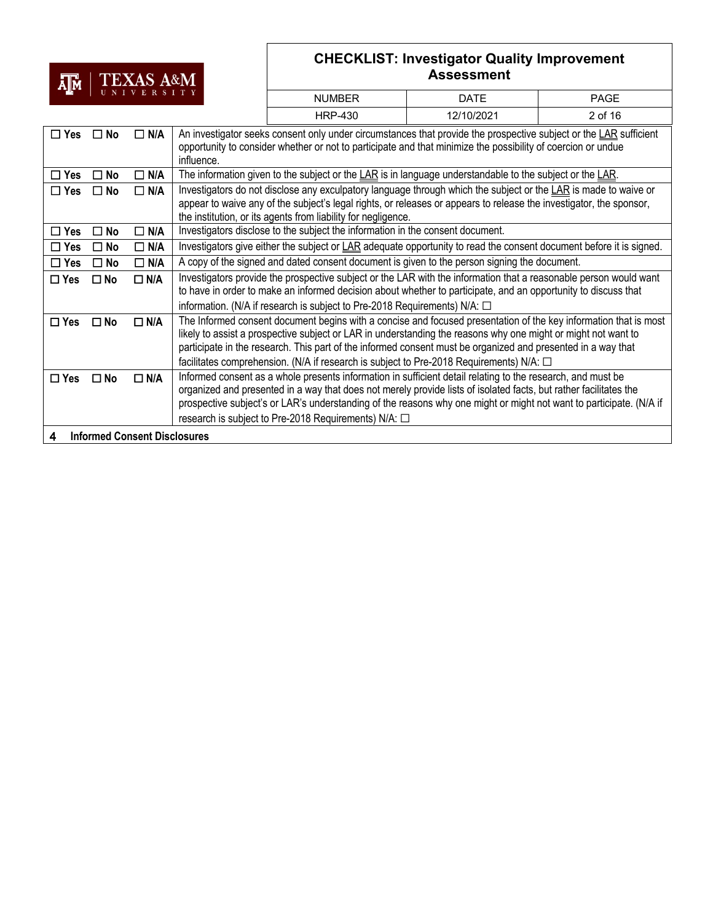# AM TEXAS A&M

|               |                                     | UNIVERSITY    |            | <b>NUMBER</b>                                                                                                                                                                                                                                                                                                                                                                                                                                     | <b>DATE</b> | <b>PAGE</b> |  |
|---------------|-------------------------------------|---------------|------------|---------------------------------------------------------------------------------------------------------------------------------------------------------------------------------------------------------------------------------------------------------------------------------------------------------------------------------------------------------------------------------------------------------------------------------------------------|-------------|-------------|--|
|               |                                     |               |            | <b>HRP-430</b>                                                                                                                                                                                                                                                                                                                                                                                                                                    | 12/10/2021  | 2 of 16     |  |
| $\square$ Yes | $\square$ No                        | $\Box$ N/A    | influence. | An investigator seeks consent only under circumstances that provide the prospective subject or the LAR sufficient<br>opportunity to consider whether or not to participate and that minimize the possibility of coercion or undue                                                                                                                                                                                                                 |             |             |  |
| $\Box$ Yes    | $\square$ No                        | $\Box$ N/A    |            | The information given to the subject or the LAR is in language understandable to the subject or the LAR.                                                                                                                                                                                                                                                                                                                                          |             |             |  |
| $\square$ Yes | $\square$ No                        | $\Box$ N/A    |            | Investigators do not disclose any exculpatory language through which the subject or the LAR is made to waive or<br>appear to waive any of the subject's legal rights, or releases or appears to release the investigator, the sponsor,<br>the institution, or its agents from liability for negligence.                                                                                                                                           |             |             |  |
| $\Box$ Yes    | $\square$ No                        | $\Box$ N/A    |            | Investigators disclose to the subject the information in the consent document.                                                                                                                                                                                                                                                                                                                                                                    |             |             |  |
| $\Box$ Yes    | No<br>П                             | $\Box$ N/A    |            | Investigators give either the subject or LAR adequate opportunity to read the consent document before it is signed.                                                                                                                                                                                                                                                                                                                               |             |             |  |
| $\square$ Yes | No<br>┓                             | $\Box$ N/A    |            | A copy of the signed and dated consent document is given to the person signing the document.                                                                                                                                                                                                                                                                                                                                                      |             |             |  |
| $\square$ Yes | $\square$ No                        | $\Box$ N/A    |            | Investigators provide the prospective subject or the LAR with the information that a reasonable person would want<br>to have in order to make an informed decision about whether to participate, and an opportunity to discuss that<br>information. (N/A if research is subject to Pre-2018 Requirements) N/A: $\Box$                                                                                                                             |             |             |  |
| $\square$ Yes | $\square$ No                        | $\Box$ N/A    |            | The Informed consent document begins with a concise and focused presentation of the key information that is most<br>likely to assist a prospective subject or LAR in understanding the reasons why one might or might not want to<br>participate in the research. This part of the informed consent must be organized and presented in a way that<br>facilitates comprehension. (N/A if research is subject to Pre-2018 Requirements) N/A: $\Box$ |             |             |  |
| $\square$ Yes | $\square$ No                        | $\square$ N/A |            | Informed consent as a whole presents information in sufficient detail relating to the research, and must be<br>organized and presented in a way that does not merely provide lists of isolated facts, but rather facilitates the<br>prospective subject's or LAR's understanding of the reasons why one might or might not want to participate. (N/A if<br>research is subject to Pre-2018 Requirements) N/A: □                                   |             |             |  |
| 4             | <b>Informed Consent Disclosures</b> |               |            |                                                                                                                                                                                                                                                                                                                                                                                                                                                   |             |             |  |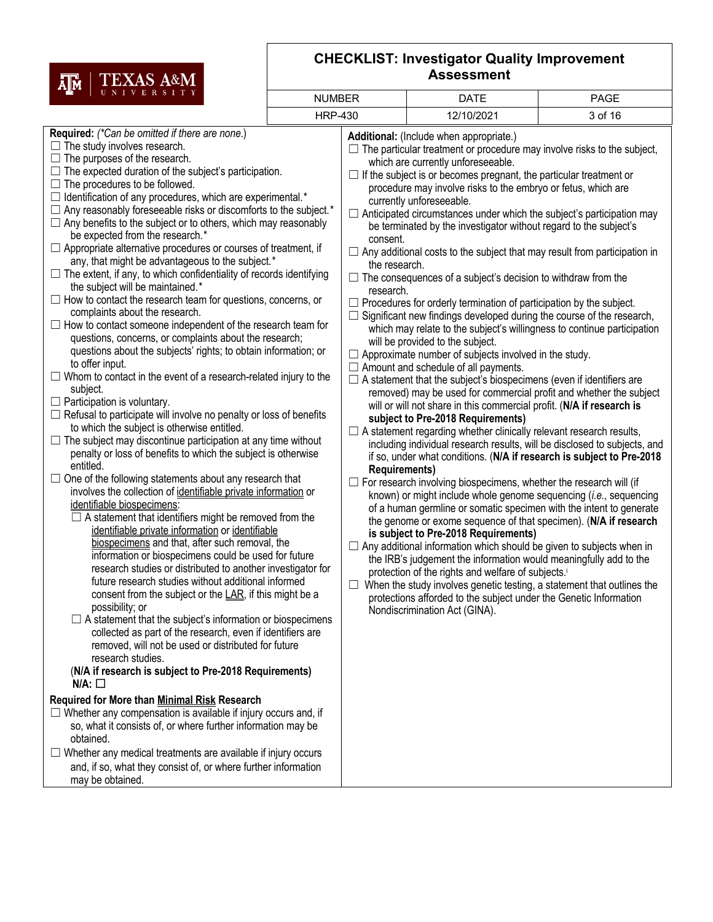

| A∥M                                                                                                                                                                                                                                                                                                                                                                                                                                                                                                                                                                                                                                                                                                                                                                                                                                                                                                                                                                                                                                                                                                                                                                                                                                                                                                                                                                                                                                                                                                                                                                                                                                                                                                                                                                                                                                                                                                                                                                                                                                                                                                                                                                                                                                                                                                                                                                                                                                                                                                                                                                                                                                                                                                                                                         |               |                                                                |                                                                                                                                                                                                                                                                                                                                                                                                                                                                                                                                                                                                                                                                                                                                                                                                                                                                                                                                                                                                                                                                                                                                                                                                                                                                                                                                                                                                                                                                                                                                                                                                                                                                                                                                                                                                                                                                                                                                                                                                                                                                                                                                                                                                                                                                                     |         |
|-------------------------------------------------------------------------------------------------------------------------------------------------------------------------------------------------------------------------------------------------------------------------------------------------------------------------------------------------------------------------------------------------------------------------------------------------------------------------------------------------------------------------------------------------------------------------------------------------------------------------------------------------------------------------------------------------------------------------------------------------------------------------------------------------------------------------------------------------------------------------------------------------------------------------------------------------------------------------------------------------------------------------------------------------------------------------------------------------------------------------------------------------------------------------------------------------------------------------------------------------------------------------------------------------------------------------------------------------------------------------------------------------------------------------------------------------------------------------------------------------------------------------------------------------------------------------------------------------------------------------------------------------------------------------------------------------------------------------------------------------------------------------------------------------------------------------------------------------------------------------------------------------------------------------------------------------------------------------------------------------------------------------------------------------------------------------------------------------------------------------------------------------------------------------------------------------------------------------------------------------------------------------------------------------------------------------------------------------------------------------------------------------------------------------------------------------------------------------------------------------------------------------------------------------------------------------------------------------------------------------------------------------------------------------------------------------------------------------------------------------------------|---------------|----------------------------------------------------------------|-------------------------------------------------------------------------------------------------------------------------------------------------------------------------------------------------------------------------------------------------------------------------------------------------------------------------------------------------------------------------------------------------------------------------------------------------------------------------------------------------------------------------------------------------------------------------------------------------------------------------------------------------------------------------------------------------------------------------------------------------------------------------------------------------------------------------------------------------------------------------------------------------------------------------------------------------------------------------------------------------------------------------------------------------------------------------------------------------------------------------------------------------------------------------------------------------------------------------------------------------------------------------------------------------------------------------------------------------------------------------------------------------------------------------------------------------------------------------------------------------------------------------------------------------------------------------------------------------------------------------------------------------------------------------------------------------------------------------------------------------------------------------------------------------------------------------------------------------------------------------------------------------------------------------------------------------------------------------------------------------------------------------------------------------------------------------------------------------------------------------------------------------------------------------------------------------------------------------------------------------------------------------------------|---------|
| UNIVERSITY                                                                                                                                                                                                                                                                                                                                                                                                                                                                                                                                                                                                                                                                                                                                                                                                                                                                                                                                                                                                                                                                                                                                                                                                                                                                                                                                                                                                                                                                                                                                                                                                                                                                                                                                                                                                                                                                                                                                                                                                                                                                                                                                                                                                                                                                                                                                                                                                                                                                                                                                                                                                                                                                                                                                                  | <b>NUMBER</b> | <b>DATE</b>                                                    | <b>PAGE</b>                                                                                                                                                                                                                                                                                                                                                                                                                                                                                                                                                                                                                                                                                                                                                                                                                                                                                                                                                                                                                                                                                                                                                                                                                                                                                                                                                                                                                                                                                                                                                                                                                                                                                                                                                                                                                                                                                                                                                                                                                                                                                                                                                                                                                                                                         |         |
|                                                                                                                                                                                                                                                                                                                                                                                                                                                                                                                                                                                                                                                                                                                                                                                                                                                                                                                                                                                                                                                                                                                                                                                                                                                                                                                                                                                                                                                                                                                                                                                                                                                                                                                                                                                                                                                                                                                                                                                                                                                                                                                                                                                                                                                                                                                                                                                                                                                                                                                                                                                                                                                                                                                                                             |               | <b>HRP-430</b>                                                 | 12/10/2021                                                                                                                                                                                                                                                                                                                                                                                                                                                                                                                                                                                                                                                                                                                                                                                                                                                                                                                                                                                                                                                                                                                                                                                                                                                                                                                                                                                                                                                                                                                                                                                                                                                                                                                                                                                                                                                                                                                                                                                                                                                                                                                                                                                                                                                                          | 3 of 16 |
| Required: (*Can be omitted if there are none.)<br>$\Box$ The study involves research.<br>$\Box$ The purposes of the research.<br>$\Box$ The expected duration of the subject's participation.<br>$\Box$ The procedures to be followed.<br>$\Box$ Identification of any procedures, which are experimental.*<br>$\Box$ Any reasonably foreseeable risks or discomforts to the subject.*<br>$\Box$ Any benefits to the subject or to others, which may reasonably<br>be expected from the research.*<br>$\Box$ Appropriate alternative procedures or courses of treatment, if<br>any, that might be advantageous to the subject.*<br>$\Box$ The extent, if any, to which confidentiality of records identifying<br>the subject will be maintained.*<br>$\Box$ How to contact the research team for questions, concerns, or<br>complaints about the research.<br>$\Box$ How to contact someone independent of the research team for<br>questions, concerns, or complaints about the research;<br>questions about the subjects' rights; to obtain information; or<br>to offer input.<br>$\Box$ Whom to contact in the event of a research-related injury to the<br>subject.<br>$\Box$ Participation is voluntary.<br>$\Box$ Refusal to participate will involve no penalty or loss of benefits<br>to which the subject is otherwise entitled.<br>$\Box$ The subject may discontinue participation at any time without<br>penalty or loss of benefits to which the subject is otherwise<br>entitled.<br>$\Box$ One of the following statements about any research that<br>involves the collection of identifiable private information or<br>identifiable biospecimens:<br>$\Box$ A statement that identifiers might be removed from the<br>identifiable private information or identifiable<br>biospecimens and that, after such removal, the<br>information or biospecimens could be used for future<br>research studies or distributed to another investigator for<br>future research studies without additional informed<br>consent from the subject or the $LAR$ , if this might be a<br>possibility; or<br>$\Box$ A statement that the subject's information or biospecimens<br>collected as part of the research, even if identifiers are<br>removed, will not be used or distributed for future<br>research studies.<br>(N/A if research is subject to Pre-2018 Requirements)<br>N/A:<br>Required for More than Minimal Risk Research<br>$\Box$ Whether any compensation is available if injury occurs and, if<br>so, what it consists of, or where further information may be<br>obtained.<br>$\Box$ Whether any medical treatments are available if injury occurs<br>and, if so, what they consist of, or where further information<br>may be obtained. |               | consent.<br>the research.<br>research.<br><b>Requirements)</b> | Additional: (Include when appropriate.)<br>$\Box$ The particular treatment or procedure may involve risks to the subject,<br>which are currently unforeseeable.<br>If the subject is or becomes pregnant, the particular treatment or<br>procedure may involve risks to the embryo or fetus, which are<br>currently unforeseeable.<br>$\Box$ Anticipated circumstances under which the subject's participation may<br>be terminated by the investigator without regard to the subject's<br>$\Box$ Any additional costs to the subject that may result from participation in<br>$\Box$ The consequences of a subject's decision to withdraw from the<br>$\Box$ Procedures for orderly termination of participation by the subject.<br>Significant new findings developed during the course of the research,<br>which may relate to the subject's willingness to continue participation<br>will be provided to the subject.<br>$\Box$ Approximate number of subjects involved in the study.<br>$\Box$ Amount and schedule of all payments.<br>$\Box$ A statement that the subject's biospecimens (even if identifiers are<br>removed) may be used for commercial profit and whether the subject<br>will or will not share in this commercial profit. (N/A if research is<br>subject to Pre-2018 Requirements)<br>$\Box$ A statement regarding whether clinically relevant research results,<br>including individual research results, will be disclosed to subjects, and<br>if so, under what conditions. (N/A if research is subject to Pre-2018<br>For research involving biospecimens, whether the research will (if<br>known) or might include whole genome sequencing (i.e., sequencing<br>of a human germline or somatic specimen with the intent to generate<br>the genome or exome sequence of that specimen). (N/A if research<br>is subject to Pre-2018 Requirements)<br>$\Box$ Any additional information which should be given to subjects when in<br>the IRB's judgement the information would meaningfully add to the<br>protection of the rights and welfare of subjects. <sup>i</sup><br>When the study involves genetic testing, a statement that outlines the<br>protections afforded to the subject under the Genetic Information<br>Nondiscrimination Act (GINA). |         |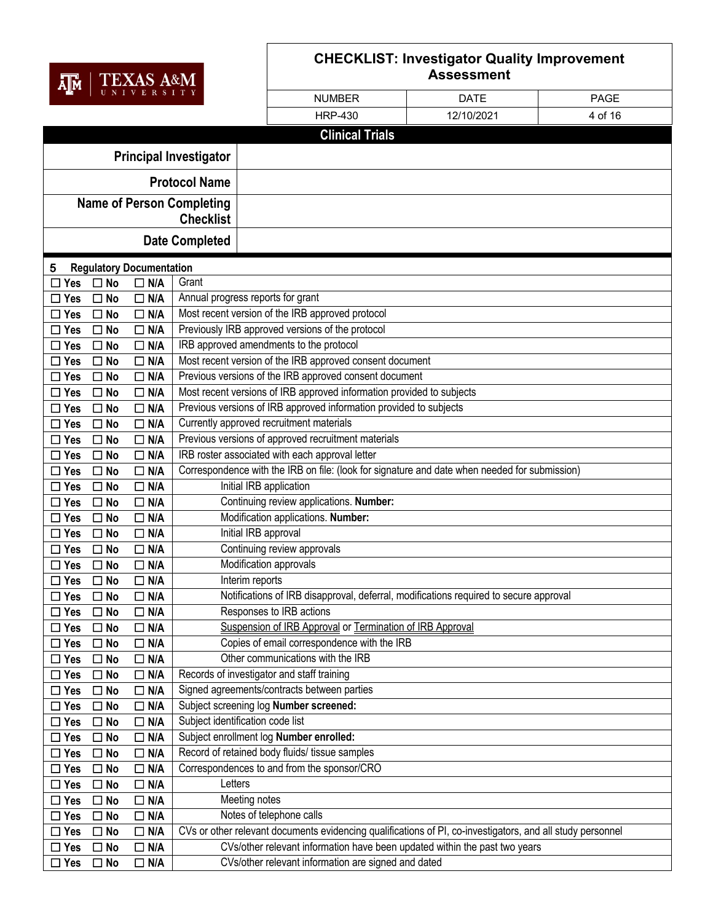

| AJM           |                  |                                 |                                   |                                                                                                            |             |             |  |  |
|---------------|------------------|---------------------------------|-----------------------------------|------------------------------------------------------------------------------------------------------------|-------------|-------------|--|--|
| UNIVERSITY    |                  |                                 |                                   | <b>NUMBER</b>                                                                                              | <b>DATE</b> | <b>PAGE</b> |  |  |
|               |                  |                                 |                                   | <b>HRP-430</b>                                                                                             | 12/10/2021  | 4 of 16     |  |  |
|               |                  |                                 |                                   | <b>Clinical Trials</b>                                                                                     |             |             |  |  |
|               |                  |                                 |                                   |                                                                                                            |             |             |  |  |
|               |                  |                                 | <b>Principal Investigator</b>     |                                                                                                            |             |             |  |  |
|               |                  |                                 | <b>Protocol Name</b>              |                                                                                                            |             |             |  |  |
|               |                  |                                 | <b>Name of Person Completing</b>  |                                                                                                            |             |             |  |  |
|               | <b>Checklist</b> |                                 |                                   |                                                                                                            |             |             |  |  |
|               |                  |                                 | <b>Date Completed</b>             |                                                                                                            |             |             |  |  |
| 5             |                  | <b>Regulatory Documentation</b> |                                   |                                                                                                            |             |             |  |  |
| Yes           | $\Box$ No        | $\Box$ N/A                      | Grant                             |                                                                                                            |             |             |  |  |
| $\Box$ Yes    | $\Box$ No        | $\Box$ N/A                      | Annual progress reports for grant |                                                                                                            |             |             |  |  |
| $\Box$ Yes    | $\square$ No     | $\Box$ N/A                      |                                   | Most recent version of the IRB approved protocol                                                           |             |             |  |  |
| $\Box$ Yes    | $\Box$ No        | $\Box$ N/A                      |                                   | Previously IRB approved versions of the protocol                                                           |             |             |  |  |
| $\Box$ Yes    | $\Box$ No        | $\Box$ N/A                      |                                   | IRB approved amendments to the protocol                                                                    |             |             |  |  |
| $\Box$ Yes    | $\Box$ No        | $\Box$ N/A                      |                                   | Most recent version of the IRB approved consent document                                                   |             |             |  |  |
| $\Box$ Yes    | $\Box$ No        | $\Box$ N/A                      |                                   | Previous versions of the IRB approved consent document                                                     |             |             |  |  |
| $\Box$ Yes    | $\Box$ No        | $\Box$ N/A                      |                                   | Most recent versions of IRB approved information provided to subjects                                      |             |             |  |  |
| $\Box$ Yes    | $\Box$ No        | $\Box$ N/A                      |                                   | Previous versions of IRB approved information provided to subjects                                         |             |             |  |  |
| $\Box$ Yes    | $\square$ No     | $\Box$ N/A                      |                                   | Currently approved recruitment materials                                                                   |             |             |  |  |
| $\Box$ Yes    | $\Box$ No        | $\Box$ N/A                      |                                   | Previous versions of approved recruitment materials                                                        |             |             |  |  |
| $\Box$ Yes    | $\Box$ No        | $\Box$ N/A                      |                                   | IRB roster associated with each approval letter                                                            |             |             |  |  |
| $\Box$ Yes    | $\Box$ No        | N/A<br>$\Box$                   |                                   | Correspondence with the IRB on file: (look for signature and date when needed for submission)              |             |             |  |  |
| $\square$ Yes | $\Box$ No        | $\Box$ N/A                      | Initial IRB application           |                                                                                                            |             |             |  |  |
| $\square$ Yes | $\Box$ No        | $\Box$ N/A                      |                                   | Continuing review applications. Number:                                                                    |             |             |  |  |
| $\Box$ Yes    | $\Box$ No        | $\Box$ N/A                      |                                   | Modification applications. Number:                                                                         |             |             |  |  |
| $\square$ Yes | $\Box$ No        | $\Box$ N/A                      |                                   | Initial IRB approval                                                                                       |             |             |  |  |
| $\square$ Yes | $\Box$ No        | $\Box$ N/A                      |                                   | Continuing review approvals                                                                                |             |             |  |  |
| $\square$ Yes | $\Box$ No        | $\Box$ N/A                      |                                   | Modification approvals                                                                                     |             |             |  |  |
| $\square$ Yes | $\square$ No     | $\Box$ N/A                      | Interim reports                   |                                                                                                            |             |             |  |  |
| $\Box$ Yes    | $\square$ No     | $\Box$ N/A                      |                                   | Notifications of IRB disapproval, deferral, modifications required to secure approval                      |             |             |  |  |
| $\square$ Yes | $\Box$ No        | $\Box$ N/A                      |                                   | Responses to IRB actions                                                                                   |             |             |  |  |
| $\square$ Yes | $\Box$ No        | $\Box$ N/A                      |                                   | Suspension of IRB Approval or Termination of IRB Approval                                                  |             |             |  |  |
| $\square$ Yes | $\square$ No     | $\Box$ N/A                      |                                   | Copies of email correspondence with the IRB                                                                |             |             |  |  |
| $\Box$ Yes    | $\square$ No     | $\Box$ N/A                      |                                   | Other communications with the IRB                                                                          |             |             |  |  |
| $\square$ Yes | $\Box$ No        | $\Box$ N/A                      |                                   | Records of investigator and staff training                                                                 |             |             |  |  |
| $\square$ Yes | $\Box$ No        | $\Box$ N/A                      |                                   | Signed agreements/contracts between parties                                                                |             |             |  |  |
| $\square$ Yes | $\Box$ No        | N/A<br>□                        |                                   | Subject screening log Number screened:                                                                     |             |             |  |  |
| $\square$ Yes | $\square$ No     | $\Box$ N/A                      | Subject identification code list  |                                                                                                            |             |             |  |  |
| $\Box$ Yes    | $\Box$ No        | N/A<br>$\Box$                   |                                   | Subject enrollment log Number enrolled:                                                                    |             |             |  |  |
| $\Box$ Yes    | $\Box$ No        | $\Box$ N/A                      |                                   | Record of retained body fluids/ tissue samples                                                             |             |             |  |  |
| $\Box$ Yes    | $\Box$ No        | N/A<br>$\Box$                   |                                   | Correspondences to and from the sponsor/CRO                                                                |             |             |  |  |
| $\square$ Yes | $\Box$ No        | $\Box$ N/A                      | Letters                           |                                                                                                            |             |             |  |  |
| $\Box$ Yes    | $\Box$ No        | N/A<br>$\Box$                   | Meeting notes                     |                                                                                                            |             |             |  |  |
| $\square$ Yes | $\Box$ No        | $\Box$ N/A                      |                                   | Notes of telephone calls                                                                                   |             |             |  |  |
| $\Box$ Yes    | $\Box$ No        | N/A<br>$\Box$                   |                                   | CVs or other relevant documents evidencing qualifications of PI, co-investigators, and all study personnel |             |             |  |  |
| $\Box$ Yes    | $\Box$ No        | $\Box$ N/A                      |                                   | CVs/other relevant information have been updated within the past two years                                 |             |             |  |  |
| $\square$ Yes | $\Box$ No        | $\Box$ N/A                      |                                   | CVs/other relevant information are signed and dated                                                        |             |             |  |  |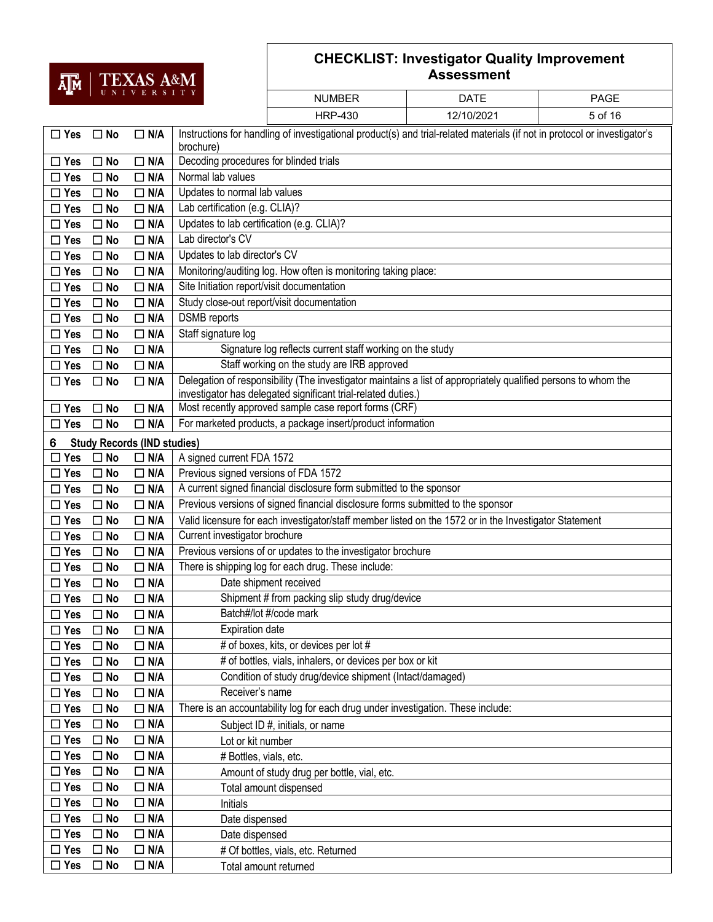

| பிய                      |                           | UNIVERSITY                         |                                                             | <b>NUMBER</b>                                                                                                                                                                   | <b>DATE</b> | <b>PAGE</b> |  |  |
|--------------------------|---------------------------|------------------------------------|-------------------------------------------------------------|---------------------------------------------------------------------------------------------------------------------------------------------------------------------------------|-------------|-------------|--|--|
|                          |                           |                                    |                                                             | <b>HRP-430</b>                                                                                                                                                                  | 12/10/2021  | 5 of 16     |  |  |
| $\Box$ Yes               | $\square$ No              | $\Box$ N/A                         | brochure)                                                   | Instructions for handling of investigational product(s) and trial-related materials (if not in protocol or investigator's                                                       |             |             |  |  |
| $\Box$ Yes               | $\Box$ No                 | $\Box$ N/A                         | Decoding procedures for blinded trials                      |                                                                                                                                                                                 |             |             |  |  |
| $\Box$ Yes               | $\square$ No              | $\Box$ N/A                         | Normal lab values                                           |                                                                                                                                                                                 |             |             |  |  |
| $\Box$ Yes               | $\square$ No              | $\Box$ N/A                         | Updates to normal lab values                                |                                                                                                                                                                                 |             |             |  |  |
| $\Box$ Yes               | $\square$ No              | $\Box$ N/A                         | Lab certification (e.g. CLIA)?                              |                                                                                                                                                                                 |             |             |  |  |
| $\Box$ Yes               | $\square$ No              | $\Box$ N/A                         | Updates to lab certification (e.g. CLIA)?                   |                                                                                                                                                                                 |             |             |  |  |
| $\Box$ Yes               | $\square$ No              | $\Box$ N/A                         | Lab director's CV                                           |                                                                                                                                                                                 |             |             |  |  |
| $\Box$ Yes               | $\square$ No              | $\Box$ N/A                         | Updates to lab director's CV                                |                                                                                                                                                                                 |             |             |  |  |
| $\Box$ Yes               | $\square$ No              | $\Box$ N/A                         |                                                             | Monitoring/auditing log. How often is monitoring taking place:                                                                                                                  |             |             |  |  |
| $\square$ Yes            | $\Box$ No                 | $\Box$ N/A                         | Site Initiation report/visit documentation                  |                                                                                                                                                                                 |             |             |  |  |
| $\Box$ Yes               | $\square$ No              | $\Box$ N/A                         |                                                             | Study close-out report/visit documentation                                                                                                                                      |             |             |  |  |
| $\Box$ Yes               | $\square$ No              | $\Box$ N/A                         | <b>DSMB</b> reports                                         |                                                                                                                                                                                 |             |             |  |  |
| $\Box$ Yes               | $\Box$ No                 | $\Box$ N/A                         | Staff signature log                                         |                                                                                                                                                                                 |             |             |  |  |
| $\Box$ Yes               | $\square$ No              | $\Box$ N/A                         |                                                             | Signature log reflects current staff working on the study                                                                                                                       |             |             |  |  |
| $\Box$ Yes               | $\Box$ No                 | $\Box$ N/A                         |                                                             | Staff working on the study are IRB approved                                                                                                                                     |             |             |  |  |
| $\Box$ Yes               | $\Box$ No                 | $\Box$ N/A                         |                                                             | Delegation of responsibility (The investigator maintains a list of appropriately qualified persons to whom the<br>investigator has delegated significant trial-related duties.) |             |             |  |  |
| $\Box$ Yes               | $\square$ No              | $\Box$ N/A                         |                                                             | Most recently approved sample case report forms (CRF)                                                                                                                           |             |             |  |  |
| $\Box$ Yes               | $\square$ No              | $\Box$ N/A                         | For marketed products, a package insert/product information |                                                                                                                                                                                 |             |             |  |  |
| 6                        |                           | <b>Study Records (IND studies)</b> |                                                             |                                                                                                                                                                                 |             |             |  |  |
| $\Box$ Yes               | $\square$ No              | $\Box$ N/A                         | A signed current FDA 1572                                   |                                                                                                                                                                                 |             |             |  |  |
| $\Box$ Yes               | $\Box$ No                 | $\Box$ N/A                         |                                                             | Previous signed versions of FDA 1572                                                                                                                                            |             |             |  |  |
| $\Box$ Yes               | $\square$ No              | $\Box$ N/A                         |                                                             | A current signed financial disclosure form submitted to the sponsor                                                                                                             |             |             |  |  |
| $\square$ Yes            | $\Box$ No                 | $\Box$ N/A                         |                                                             | Previous versions of signed financial disclosure forms submitted to the sponsor                                                                                                 |             |             |  |  |
| $\Box$ Yes               | $\square$ No              | $\Box$ N/A                         |                                                             | Valid licensure for each investigator/staff member listed on the 1572 or in the Investigator Statement                                                                          |             |             |  |  |
| $\Box$ Yes               | $\Box$ No                 | $\Box$ N/A                         | Current investigator brochure                               |                                                                                                                                                                                 |             |             |  |  |
| $\Box$ Yes               | $\Box$ No                 | $\Box$ N/A                         |                                                             | Previous versions of or updates to the investigator brochure                                                                                                                    |             |             |  |  |
| $\Box$ Yes               | $\square$ No              | $\Box$ N/A                         |                                                             | There is shipping log for each drug. These include:                                                                                                                             |             |             |  |  |
| $\Box$ Yes               | $\square$ No              | $\Box$ N/A                         |                                                             | Date shipment received                                                                                                                                                          |             |             |  |  |
| $\Box$ Yes               | $\square$ No              | $\Box$ N/A                         |                                                             | Shipment # from packing slip study drug/device                                                                                                                                  |             |             |  |  |
| $\square$ Yes            | $\square$ No              | $\Box$ N/A                         |                                                             | Batch#/lot #/code mark                                                                                                                                                          |             |             |  |  |
| $\square$ Yes            | $\square$ No              | $\Box$ N/A                         | <b>Expiration date</b>                                      |                                                                                                                                                                                 |             |             |  |  |
| $\Box$ Yes               | $\Box$ No                 | $\Box$ N/A                         |                                                             | # of boxes, kits, or devices per lot #                                                                                                                                          |             |             |  |  |
| $\Box$ Yes               | $\Box$ No                 | $\overline{\Box}$ N/A              |                                                             | # of bottles, vials, inhalers, or devices per box or kit                                                                                                                        |             |             |  |  |
| $\Box$ Yes               | $\square$ No              | $\Box$ N/A                         |                                                             | Condition of study drug/device shipment (Intact/damaged)                                                                                                                        |             |             |  |  |
| $\Box$ Yes               | $\Box$ No                 | $\Box$ N/A                         | Receiver's name                                             |                                                                                                                                                                                 |             |             |  |  |
| $\square$ Yes            | $\square$ No              | $\Box$ N/A                         |                                                             | There is an accountability log for each drug under investigation. These include:                                                                                                |             |             |  |  |
| $\Box$ Yes               | $\Box$ No                 | $\Box$ N/A                         |                                                             | Subject ID #, initials, or name                                                                                                                                                 |             |             |  |  |
| $\square$ Yes            | $\Box$ No                 | $\Box$ N/A                         | Lot or kit number                                           |                                                                                                                                                                                 |             |             |  |  |
| $\square$ Yes            | $\Box$ No                 | $\Box$ N/A                         | # Bottles, vials, etc.                                      |                                                                                                                                                                                 |             |             |  |  |
| $\Box$ Yes               | $\Box$ No                 | $\Box$ N/A                         |                                                             | Amount of study drug per bottle, vial, etc.                                                                                                                                     |             |             |  |  |
| $\Box$ Yes<br>$\Box$ Yes | $\Box$ No<br>$\square$ No | $\Box$ N/A<br>$\Box$ N/A           |                                                             | Total amount dispensed                                                                                                                                                          |             |             |  |  |
| $\Box$ Yes               | $\Box$ No                 | $\Box$ N/A                         | Initials                                                    |                                                                                                                                                                                 |             |             |  |  |
| $\Box$ Yes               | $\Box$ No                 | $\Box$ N/A                         | Date dispensed                                              |                                                                                                                                                                                 |             |             |  |  |
| $\Box$ Yes               | $\Box$ No                 | $\Box$ N/A                         | Date dispensed                                              | # Of bottles, vials, etc. Returned                                                                                                                                              |             |             |  |  |
| $\Box$ Yes               | $\Box$ No                 | $\Box$ N/A                         |                                                             | Total amount returned                                                                                                                                                           |             |             |  |  |
|                          |                           |                                    |                                                             |                                                                                                                                                                                 |             |             |  |  |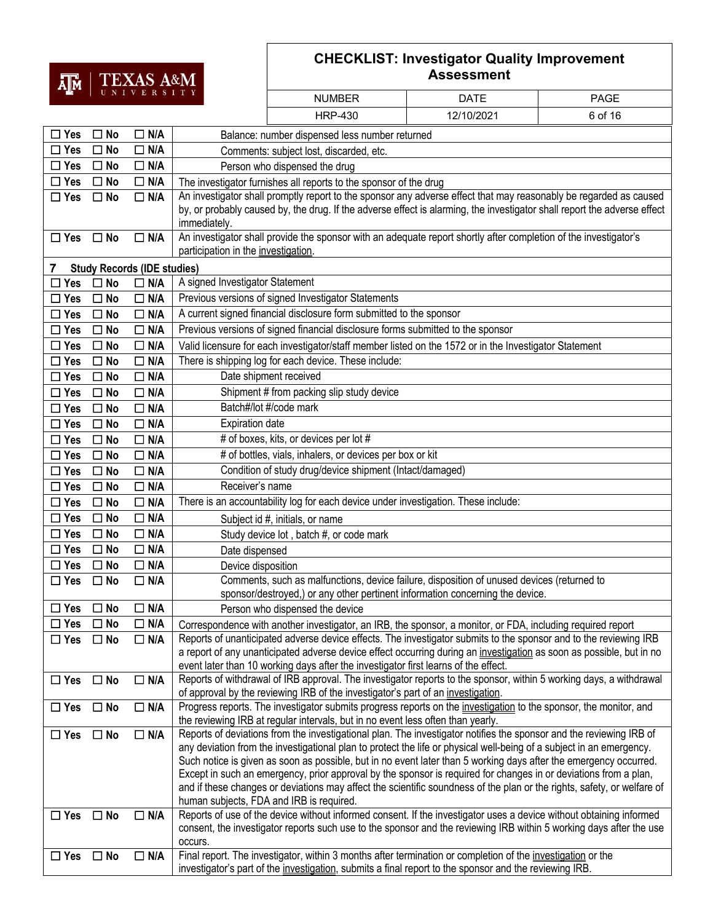# $\overline{\mathbf{H}}$  | TEXAS A&M

| ஆக                   |              |                                    |                                                                                                                                                                                                                                       |                                                                                                                                                                                                                                            |             |             |  |  |
|----------------------|--------------|------------------------------------|---------------------------------------------------------------------------------------------------------------------------------------------------------------------------------------------------------------------------------------|--------------------------------------------------------------------------------------------------------------------------------------------------------------------------------------------------------------------------------------------|-------------|-------------|--|--|
|                      |              | UNIVERSITY                         |                                                                                                                                                                                                                                       | <b>NUMBER</b>                                                                                                                                                                                                                              | <b>DATE</b> | <b>PAGE</b> |  |  |
|                      |              |                                    |                                                                                                                                                                                                                                       | <b>HRP-430</b>                                                                                                                                                                                                                             | 12/10/2021  | 6 of 16     |  |  |
| $\Box$ Yes           | $\square$ No | $\Box$ N/A                         |                                                                                                                                                                                                                                       | Balance: number dispensed less number returned                                                                                                                                                                                             |             |             |  |  |
| $\Box$ Yes           | $\Box$ No    | $\Box$ N/A                         |                                                                                                                                                                                                                                       | Comments: subject lost, discarded, etc.                                                                                                                                                                                                    |             |             |  |  |
| $\Box$ Yes           | $\square$ No | $\Box$ N/A                         |                                                                                                                                                                                                                                       | Person who dispensed the drug                                                                                                                                                                                                              |             |             |  |  |
| $\Box$ Yes           | $\square$ No | $\Box$ N/A                         |                                                                                                                                                                                                                                       | The investigator furnishes all reports to the sponsor of the drug                                                                                                                                                                          |             |             |  |  |
| $\square$ Yes        | $\square$ No | $\Box$ N/A                         |                                                                                                                                                                                                                                       | An investigator shall promptly report to the sponsor any adverse effect that may reasonably be regarded as caused                                                                                                                          |             |             |  |  |
|                      |              |                                    | immediately.                                                                                                                                                                                                                          | by, or probably caused by, the drug. If the adverse effect is alarming, the investigator shall report the adverse effect                                                                                                                   |             |             |  |  |
| $\Box$ Yes           | $\square$ No | $\Box$ N/A                         | participation in the investigation.                                                                                                                                                                                                   | An investigator shall provide the sponsor with an adequate report shortly after completion of the investigator's                                                                                                                           |             |             |  |  |
| 7                    |              | <b>Study Records (IDE studies)</b> |                                                                                                                                                                                                                                       |                                                                                                                                                                                                                                            |             |             |  |  |
| $\Box$ Yes           | $\square$ No | $\Box$ N/A                         | A signed Investigator Statement                                                                                                                                                                                                       |                                                                                                                                                                                                                                            |             |             |  |  |
| $\Box$ Yes           | $\Box$ No    | $\Box$ N/A                         |                                                                                                                                                                                                                                       | Previous versions of signed Investigator Statements                                                                                                                                                                                        |             |             |  |  |
| $\Box$ Yes           | $\square$ No | $\Box$ N/A                         |                                                                                                                                                                                                                                       | A current signed financial disclosure form submitted to the sponsor                                                                                                                                                                        |             |             |  |  |
| $\square$ Yes        | $\Box$ No    | $\Box$ N/A                         |                                                                                                                                                                                                                                       | Previous versions of signed financial disclosure forms submitted to the sponsor                                                                                                                                                            |             |             |  |  |
| $\Box$ Yes           | $\square$ No | $\Box$ N/A                         |                                                                                                                                                                                                                                       | Valid licensure for each investigator/staff member listed on the 1572 or in the Investigator Statement                                                                                                                                     |             |             |  |  |
| $\Box$ Yes           | $\Box$ No    | $\Box$ N/A                         |                                                                                                                                                                                                                                       | There is shipping log for each device. These include:                                                                                                                                                                                      |             |             |  |  |
| $\Box$ Yes           | $\Box$ No    | $\Box$ N/A                         |                                                                                                                                                                                                                                       | Date shipment received                                                                                                                                                                                                                     |             |             |  |  |
| $\square$ Yes        | $\square$ No | $\Box$ N/A                         |                                                                                                                                                                                                                                       | Shipment # from packing slip study device                                                                                                                                                                                                  |             |             |  |  |
| $\square$ Yes        | $\square$ No | $\Box$ N/A                         |                                                                                                                                                                                                                                       | Batch#/lot #/code mark                                                                                                                                                                                                                     |             |             |  |  |
| $\Box$ Yes           | $\square$ No | $\Box$ N/A                         | <b>Expiration date</b>                                                                                                                                                                                                                |                                                                                                                                                                                                                                            |             |             |  |  |
| $\Box$ Yes           | $\Box$ No    | $\Box$ N/A                         |                                                                                                                                                                                                                                       | # of boxes, kits, or devices per lot #                                                                                                                                                                                                     |             |             |  |  |
| $\square$ Yes        | $\Box$ No    | $\Box$ N/A                         |                                                                                                                                                                                                                                       | # of bottles, vials, inhalers, or devices per box or kit                                                                                                                                                                                   |             |             |  |  |
| $\Box$ Yes           | $\square$ No | $\Box$ N/A                         | Condition of study drug/device shipment (Intact/damaged)                                                                                                                                                                              |                                                                                                                                                                                                                                            |             |             |  |  |
| $\Box$ Yes           | $\square$ No | $\Box$ N/A                         | Receiver's name                                                                                                                                                                                                                       |                                                                                                                                                                                                                                            |             |             |  |  |
| $\Box$ Yes           | $\Box$ No    | $\Box$ N/A                         |                                                                                                                                                                                                                                       | There is an accountability log for each device under investigation. These include:                                                                                                                                                         |             |             |  |  |
| $\Box$ Yes           | $\Box$ No    | $\Box$ N/A                         |                                                                                                                                                                                                                                       | Subject id #, initials, or name                                                                                                                                                                                                            |             |             |  |  |
| $\square$ Yes        | $\Box$ No    | $\Box$ N/A                         |                                                                                                                                                                                                                                       | Study device lot, batch #, or code mark                                                                                                                                                                                                    |             |             |  |  |
| $\Box$ Yes           | $\Box$ No    | $\Box$ N/A                         | Date dispensed                                                                                                                                                                                                                        |                                                                                                                                                                                                                                            |             |             |  |  |
| $\Box$ Yes           | $\Box$ No    | $\Box$ N/A                         | Device disposition                                                                                                                                                                                                                    |                                                                                                                                                                                                                                            |             |             |  |  |
| $\square$ Yes        | $\square$ No | $\Box$ N/A                         |                                                                                                                                                                                                                                       | Comments, such as malfunctions, device failure, disposition of unused devices (returned to<br>sponsor/destroyed,) or any other pertinent information concerning the device.                                                                |             |             |  |  |
| $\Box$ Yes $\Box$ No |              | $\Box$ N/A                         |                                                                                                                                                                                                                                       | Person who dispensed the device                                                                                                                                                                                                            |             |             |  |  |
| $\square$ Yes        | $\Box$ No    | $\Box$ N/A                         |                                                                                                                                                                                                                                       | Correspondence with another investigator, an IRB, the sponsor, a monitor, or FDA, including required report                                                                                                                                |             |             |  |  |
| $\Box$ Yes           | $\square$ No | $\Box$ N/A                         |                                                                                                                                                                                                                                       | Reports of unanticipated adverse device effects. The investigator submits to the sponsor and to the reviewing IRB                                                                                                                          |             |             |  |  |
|                      |              |                                    |                                                                                                                                                                                                                                       | a report of any unanticipated adverse device effect occurring during an investigation as soon as possible, but in no<br>event later than 10 working days after the investigator first learns of the effect.                                |             |             |  |  |
| $\Box$ Yes           | $\square$ No | $\Box$ N/A                         |                                                                                                                                                                                                                                       | Reports of withdrawal of IRB approval. The investigator reports to the sponsor, within 5 working days, a withdrawal<br>of approval by the reviewing IRB of the investigator's part of an investigation.                                    |             |             |  |  |
| $\Box$ Yes           | $\Box$ No    | $\Box$ N/A                         |                                                                                                                                                                                                                                       | Progress reports. The investigator submits progress reports on the investigation to the sponsor, the monitor, and                                                                                                                          |             |             |  |  |
|                      |              |                                    |                                                                                                                                                                                                                                       | the reviewing IRB at regular intervals, but in no event less often than yearly.                                                                                                                                                            |             |             |  |  |
| $\Box$ Yes           | $\square$ No | $\Box$ N/A                         |                                                                                                                                                                                                                                       | Reports of deviations from the investigational plan. The investigator notifies the sponsor and the reviewing IRB of                                                                                                                        |             |             |  |  |
|                      |              |                                    |                                                                                                                                                                                                                                       | any deviation from the investigational plan to protect the life or physical well-being of a subject in an emergency.                                                                                                                       |             |             |  |  |
|                      |              |                                    | Such notice is given as soon as possible, but in no event later than 5 working days after the emergency occurred.<br>Except in such an emergency, prior approval by the sponsor is required for changes in or deviations from a plan, |                                                                                                                                                                                                                                            |             |             |  |  |
|                      |              |                                    | and if these changes or deviations may affect the scientific soundness of the plan or the rights, safety, or welfare of                                                                                                               |                                                                                                                                                                                                                                            |             |             |  |  |
|                      |              |                                    |                                                                                                                                                                                                                                       | human subjects, FDA and IRB is required.                                                                                                                                                                                                   |             |             |  |  |
| $\square$ Yes        | $\square$ No | $\Box$ N/A                         | occurs.                                                                                                                                                                                                                               | Reports of use of the device without informed consent. If the investigator uses a device without obtaining informed<br>consent, the investigator reports such use to the sponsor and the reviewing IRB within 5 working days after the use |             |             |  |  |
| $\square$ Yes        | $\Box$ No    | $\Box$ N/A                         |                                                                                                                                                                                                                                       | Final report. The investigator, within 3 months after termination or completion of the investigation or the<br>investigator's part of the investigation, submits a final report to the sponsor and the reviewing IRB.                      |             |             |  |  |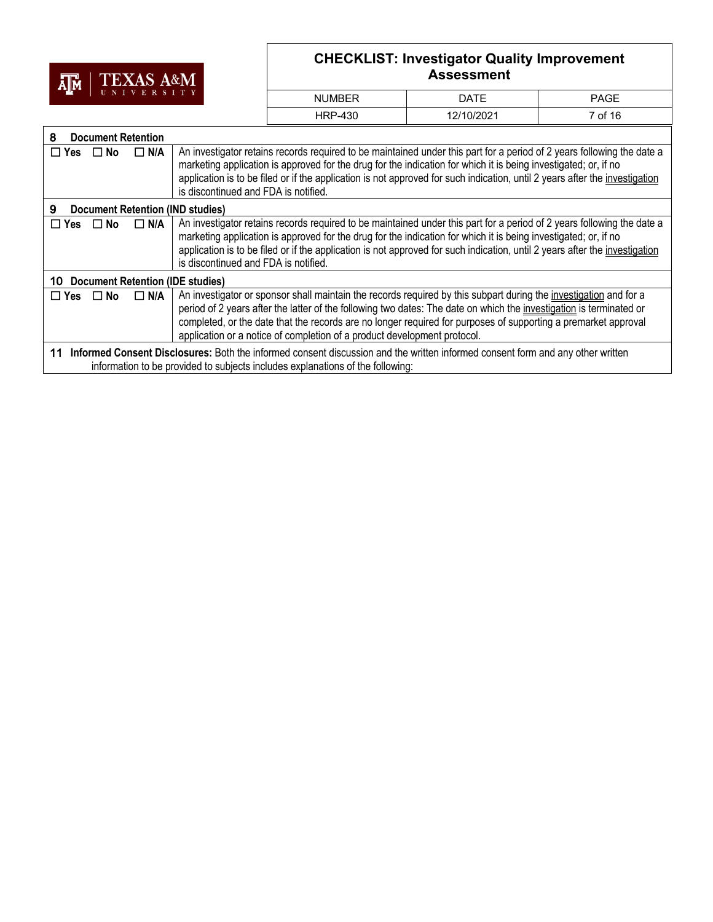

| <b>NUMBER</b> | DATE       | <b>PAGE</b> |
|---------------|------------|-------------|
| HRP-430       | 12/10/2021 | 7 of 16     |

| 8                                                                                                                                                                                                                      |           | <b>Document Retention</b> |                                                                                                                                                                                                                                                                                                                                                                                                                                        |  |
|------------------------------------------------------------------------------------------------------------------------------------------------------------------------------------------------------------------------|-----------|---------------------------|----------------------------------------------------------------------------------------------------------------------------------------------------------------------------------------------------------------------------------------------------------------------------------------------------------------------------------------------------------------------------------------------------------------------------------------|--|
| $\Box$ Yes $\Box$ No                                                                                                                                                                                                   |           | $\Box$ N/A                | An investigator retains records required to be maintained under this part for a period of 2 years following the date a<br>marketing application is approved for the drug for the indication for which it is being investigated; or, if no<br>application is to be filed or if the application is not approved for such indication, until 2 years after the investigation<br>is discontinued and FDA is notified.                       |  |
| 9                                                                                                                                                                                                                      |           |                           | <b>Document Retention (IND studies)</b>                                                                                                                                                                                                                                                                                                                                                                                                |  |
| $\Box$ Yes                                                                                                                                                                                                             | $\Box$ No | $\Box$ N/A                | An investigator retains records required to be maintained under this part for a period of 2 years following the date a<br>marketing application is approved for the drug for the indication for which it is being investigated; or, if no<br>application is to be filed or if the application is not approved for such indication, until 2 years after the investigation<br>is discontinued and FDA is notified.                       |  |
| 10                                                                                                                                                                                                                     |           |                           | <b>Document Retention (IDE studies)</b>                                                                                                                                                                                                                                                                                                                                                                                                |  |
| $\Box$ Yes                                                                                                                                                                                                             | $\Box$ No | $\Box$ N/A                | An investigator or sponsor shall maintain the records required by this subpart during the investigation and for a<br>period of 2 years after the latter of the following two dates: The date on which the investigation is terminated or<br>completed, or the date that the records are no longer required for purposes of supporting a premarket approval<br>application or a notice of completion of a product development protocol. |  |
| Informed Consent Disclosures: Both the informed consent discussion and the written informed consent form and any other written<br>11<br>information to be provided to subjects includes explanations of the following: |           |                           |                                                                                                                                                                                                                                                                                                                                                                                                                                        |  |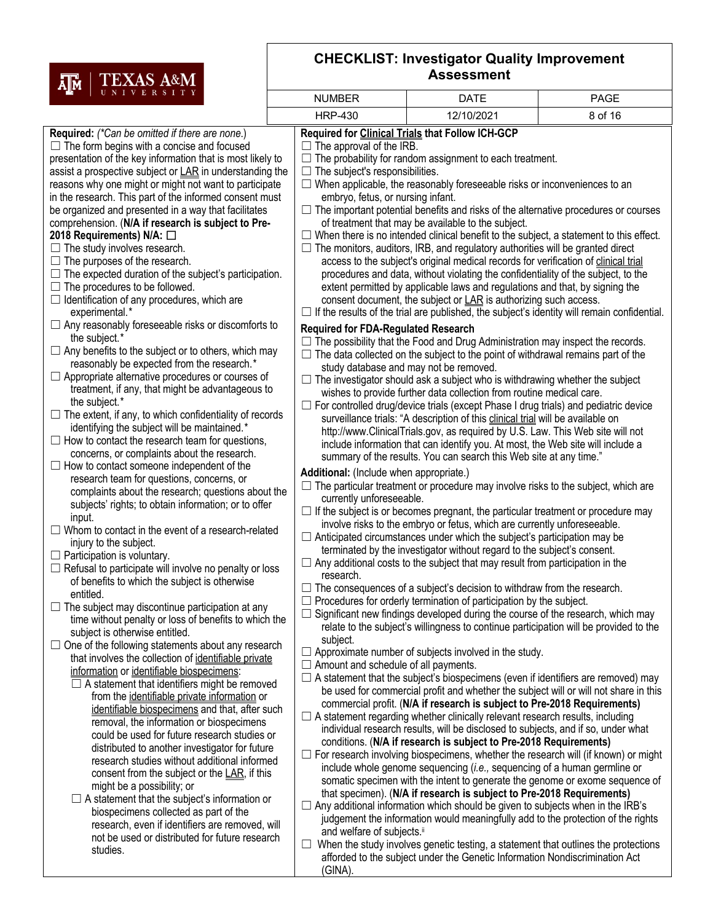

| I UNIVERSIII                                                                                      | <b>NUMBER</b>                               | <b>DATE</b>                                                                                                                                                                            | <b>PAGE</b> |  |  |  |  |
|---------------------------------------------------------------------------------------------------|---------------------------------------------|----------------------------------------------------------------------------------------------------------------------------------------------------------------------------------------|-------------|--|--|--|--|
|                                                                                                   | <b>HRP-430</b>                              | 12/10/2021                                                                                                                                                                             | 8 of 16     |  |  |  |  |
| Required: (*Can be omitted if there are none.)                                                    |                                             | Required for Clinical Trials that Follow ICH-GCP                                                                                                                                       |             |  |  |  |  |
| $\Box$ The form begins with a concise and focused                                                 | $\Box$ The approval of the IRB.             |                                                                                                                                                                                        |             |  |  |  |  |
| presentation of the key information that is most likely to                                        |                                             | $\Box$ The probability for random assignment to each treatment.                                                                                                                        |             |  |  |  |  |
| assist a prospective subject or LAR in understanding the                                          | $\Box$ The subject's responsibilities.      |                                                                                                                                                                                        |             |  |  |  |  |
| reasons why one might or might not want to participate                                            |                                             | $\Box$ When applicable, the reasonably foreseeable risks or inconveniences to an                                                                                                       |             |  |  |  |  |
| in the research. This part of the informed consent must                                           | embryo, fetus, or nursing infant.           |                                                                                                                                                                                        |             |  |  |  |  |
| be organized and presented in a way that facilitates                                              |                                             | $\Box$ The important potential benefits and risks of the alternative procedures or courses                                                                                             |             |  |  |  |  |
| comprehension. (N/A if research is subject to Pre-                                                |                                             | of treatment that may be available to the subject.                                                                                                                                     |             |  |  |  |  |
| 2018 Requirements) N/A: □                                                                         |                                             | $\Box$ When there is no intended clinical benefit to the subject, a statement to this effect.<br>$\Box$ The monitors, auditors, IRB, and regulatory authorities will be granted direct |             |  |  |  |  |
| $\Box$ The study involves research.<br>$\Box$ The purposes of the research.                       |                                             | access to the subject's original medical records for verification of clinical trial                                                                                                    |             |  |  |  |  |
| $\Box$ The expected duration of the subject's participation.                                      |                                             | procedures and data, without violating the confidentiality of the subject, to the                                                                                                      |             |  |  |  |  |
| $\Box$ The procedures to be followed.                                                             |                                             | extent permitted by applicable laws and regulations and that, by signing the                                                                                                           |             |  |  |  |  |
| $\Box$ Identification of any procedures, which are                                                |                                             | consent document, the subject or LAR is authorizing such access.                                                                                                                       |             |  |  |  |  |
| experimental.*                                                                                    |                                             | $\Box$ If the results of the trial are published, the subject's identity will remain confidential.                                                                                     |             |  |  |  |  |
| $\Box$ Any reasonably foreseeable risks or discomforts to                                         | <b>Required for FDA-Regulated Research</b>  |                                                                                                                                                                                        |             |  |  |  |  |
| the subject.*                                                                                     |                                             | $\Box$ The possibility that the Food and Drug Administration may inspect the records.                                                                                                  |             |  |  |  |  |
| $\Box$ Any benefits to the subject or to others, which may                                        |                                             | $\Box$ The data collected on the subject to the point of withdrawal remains part of the                                                                                                |             |  |  |  |  |
| reasonably be expected from the research.*                                                        |                                             | study database and may not be removed.                                                                                                                                                 |             |  |  |  |  |
| $\Box$ Appropriate alternative procedures or courses of                                           |                                             | $\Box$ The investigator should ask a subject who is withdrawing whether the subject                                                                                                    |             |  |  |  |  |
| treatment, if any, that might be advantageous to<br>the subject.*                                 |                                             | wishes to provide further data collection from routine medical care.                                                                                                                   |             |  |  |  |  |
| $\Box$ The extent, if any, to which confidentiality of records                                    |                                             | $\Box$ For controlled drug/device trials (except Phase I drug trials) and pediatric device                                                                                             |             |  |  |  |  |
| identifying the subject will be maintained.*                                                      |                                             | surveillance trials: "A description of this clinical trial will be available on                                                                                                        |             |  |  |  |  |
| $\Box$ How to contact the research team for questions,                                            |                                             | http://www.ClinicalTrials.gov, as required by U.S. Law. This Web site will not                                                                                                         |             |  |  |  |  |
| concerns, or complaints about the research.                                                       |                                             | include information that can identify you. At most, the Web site will include a<br>summary of the results. You can search this Web site at any time."                                  |             |  |  |  |  |
| $\Box$ How to contact someone independent of the                                                  | Additional: (Include when appropriate.)     |                                                                                                                                                                                        |             |  |  |  |  |
| research team for questions, concerns, or                                                         |                                             |                                                                                                                                                                                        |             |  |  |  |  |
| complaints about the research; questions about the                                                |                                             | $\Box$ The particular treatment or procedure may involve risks to the subject, which are<br>currently unforeseeable.                                                                   |             |  |  |  |  |
| subjects' rights; to obtain information; or to offer                                              |                                             | $\Box$ If the subject is or becomes pregnant, the particular treatment or procedure may                                                                                                |             |  |  |  |  |
| input.                                                                                            |                                             | involve risks to the embryo or fetus, which are currently unforeseeable.                                                                                                               |             |  |  |  |  |
| $\Box$ Whom to contact in the event of a research-related<br>injury to the subject.               |                                             | $\Box$ Anticipated circumstances under which the subject's participation may be                                                                                                        |             |  |  |  |  |
| $\Box$ Participation is voluntary.                                                                |                                             | terminated by the investigator without regard to the subject's consent.                                                                                                                |             |  |  |  |  |
| $\Box$ Refusal to participate will involve no penalty or loss                                     |                                             | $\Box$ Any additional costs to the subject that may result from participation in the                                                                                                   |             |  |  |  |  |
| of benefits to which the subject is otherwise                                                     | research.                                   | $\Box$ The consequences of a subject's decision to withdraw from the research.                                                                                                         |             |  |  |  |  |
| entitled.                                                                                         |                                             |                                                                                                                                                                                        |             |  |  |  |  |
| $\Box$ The subject may discontinue participation at any                                           |                                             | $\Box$ Procedures for orderly termination of participation by the subject.<br>$\Box$ Significant new findings developed during the course of the research, which may                   |             |  |  |  |  |
| time without penalty or loss of benefits to which the                                             |                                             | relate to the subject's willingness to continue participation will be provided to the                                                                                                  |             |  |  |  |  |
| subject is otherwise entitled.                                                                    | subject.                                    |                                                                                                                                                                                        |             |  |  |  |  |
| One of the following statements about any research<br>$\Box$                                      |                                             | $\Box$ Approximate number of subjects involved in the study.                                                                                                                           |             |  |  |  |  |
| that involves the collection of identifiable private<br>information or identifiable biospecimens: | $\Box$ Amount and schedule of all payments. |                                                                                                                                                                                        |             |  |  |  |  |
| $\Box$ A statement that identifiers might be removed                                              |                                             | $\Box$ A statement that the subject's biospecimens (even if identifiers are removed) may                                                                                               |             |  |  |  |  |
| from the identifiable private information or                                                      |                                             | be used for commercial profit and whether the subject will or will not share in this                                                                                                   |             |  |  |  |  |
| identifiable biospecimens and that, after such                                                    |                                             | commercial profit. (N/A if research is subject to Pre-2018 Requirements)                                                                                                               |             |  |  |  |  |
| removal, the information or biospecimens                                                          |                                             | $\Box$ A statement regarding whether clinically relevant research results, including                                                                                                   |             |  |  |  |  |
| could be used for future research studies or                                                      |                                             | individual research results, will be disclosed to subjects, and if so, under what<br>conditions. (N/A if research is subject to Pre-2018 Requirements)                                 |             |  |  |  |  |
| distributed to another investigator for future                                                    |                                             | $\Box$ For research involving biospecimens, whether the research will (if known) or might                                                                                              |             |  |  |  |  |
| research studies without additional informed                                                      |                                             |                                                                                                                                                                                        |             |  |  |  |  |
| consent from the subject or the LAR, if this                                                      |                                             | include whole genome sequencing (i.e., sequencing of a human germline or<br>somatic specimen with the intent to generate the genome or exome sequence of                               |             |  |  |  |  |
| might be a possibility; or                                                                        |                                             | that specimen). (N/A if research is subject to Pre-2018 Requirements)                                                                                                                  |             |  |  |  |  |
| $\Box$ A statement that the subject's information or<br>biospecimens collected as part of the     |                                             | $\Box$ Any additional information which should be given to subjects when in the IRB's                                                                                                  |             |  |  |  |  |
| research, even if identifiers are removed, will                                                   |                                             | judgement the information would meaningfully add to the protection of the rights                                                                                                       |             |  |  |  |  |
| not be used or distributed for future research                                                    | and welfare of subjects.ii                  |                                                                                                                                                                                        |             |  |  |  |  |
| studies.                                                                                          |                                             | $\Box$ When the study involves genetic testing, a statement that outlines the protections                                                                                              |             |  |  |  |  |
|                                                                                                   |                                             | afforded to the subject under the Genetic Information Nondiscrimination Act                                                                                                            |             |  |  |  |  |

(GINA).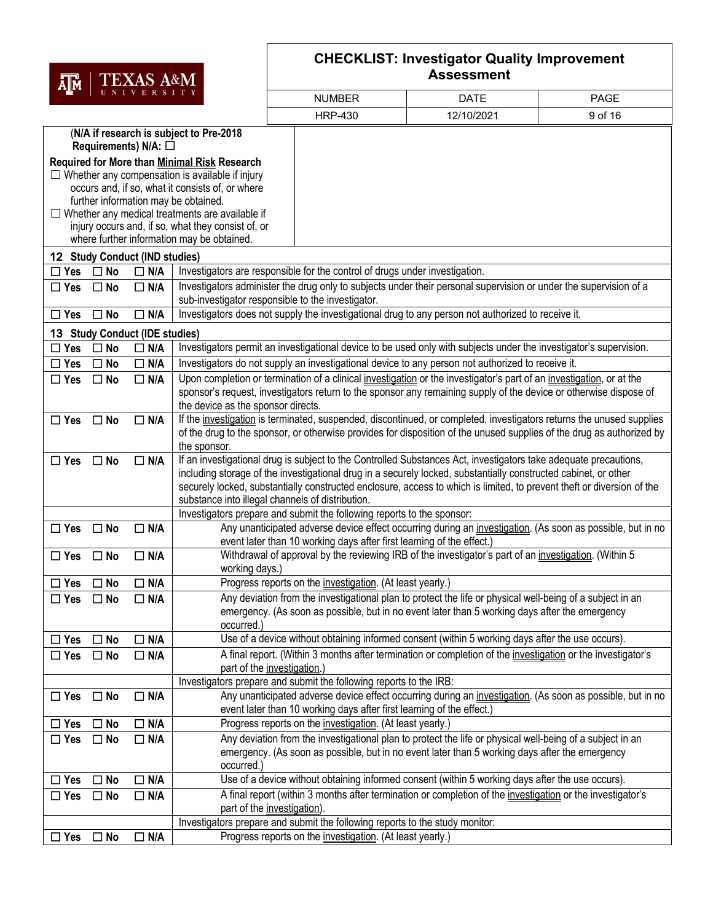| AM TEXAS A&M |            |  |  |  |  |  |
|--------------|------------|--|--|--|--|--|
|              | UNIVERSITY |  |  |  |  |  |

| д™<br>UNIVERSITY |              |                                |                                                                                                  |                                                                                                                                                                                                                                               |             |         |
|------------------|--------------|--------------------------------|--------------------------------------------------------------------------------------------------|-----------------------------------------------------------------------------------------------------------------------------------------------------------------------------------------------------------------------------------------------|-------------|---------|
|                  |              |                                |                                                                                                  | <b>NUMBER</b>                                                                                                                                                                                                                                 | <b>DATE</b> | PAGE    |
|                  |              |                                |                                                                                                  | <b>HRP-430</b>                                                                                                                                                                                                                                | 12/10/2021  | 9 of 16 |
|                  |              |                                | (N/A if research is subject to Pre-2018                                                          |                                                                                                                                                                                                                                               |             |         |
|                  |              | Requirements) N/A: $\square$   |                                                                                                  |                                                                                                                                                                                                                                               |             |         |
|                  |              |                                | Required for More than Minimal Risk Research                                                     |                                                                                                                                                                                                                                               |             |         |
|                  |              |                                | $\Box$ Whether any compensation is available if injury                                           |                                                                                                                                                                                                                                               |             |         |
|                  |              |                                | occurs and, if so, what it consists of, or where                                                 |                                                                                                                                                                                                                                               |             |         |
|                  |              |                                | further information may be obtained.                                                             |                                                                                                                                                                                                                                               |             |         |
|                  |              |                                | $\Box$ Whether any medical treatments are available if                                           |                                                                                                                                                                                                                                               |             |         |
|                  |              |                                | injury occurs and, if so, what they consist of, or<br>where further information may be obtained. |                                                                                                                                                                                                                                               |             |         |
|                  |              | 12 Study Conduct (IND studies) |                                                                                                  |                                                                                                                                                                                                                                               |             |         |
| $\square$ Yes    | $\square$ No | $\Box$ N/A                     |                                                                                                  | Investigators are responsible for the control of drugs under investigation.                                                                                                                                                                   |             |         |
| $\Box$ Yes       | $\Box$ No    | $\Box$ N/A                     |                                                                                                  | Investigators administer the drug only to subjects under their personal supervision or under the supervision of a                                                                                                                             |             |         |
|                  |              |                                |                                                                                                  | sub-investigator responsible to the investigator.                                                                                                                                                                                             |             |         |
| $\Box$ Yes       | $\square$ No | $\Box$ N/A                     |                                                                                                  | Investigators does not supply the investigational drug to any person not authorized to receive it.                                                                                                                                            |             |         |
|                  |              | 13 Study Conduct (IDE studies) |                                                                                                  |                                                                                                                                                                                                                                               |             |         |
| $\Box$ Yes       | $\square$ No | $\Box$ N/A                     |                                                                                                  | Investigators permit an investigational device to be used only with subjects under the investigator's supervision.                                                                                                                            |             |         |
| $\Box$ Yes       | $\Box$ No    | $\Box$ N/A                     |                                                                                                  | Investigators do not supply an investigational device to any person not authorized to receive it.                                                                                                                                             |             |         |
| $\Box$ Yes       | $\square$ No | $\Box$ N/A                     |                                                                                                  | Upon completion or termination of a clinical investigation or the investigator's part of an investigation, or at the                                                                                                                          |             |         |
|                  |              |                                |                                                                                                  | sponsor's request, investigators return to the sponsor any remaining supply of the device or otherwise dispose of                                                                                                                             |             |         |
|                  |              |                                | the device as the sponsor directs.                                                               |                                                                                                                                                                                                                                               |             |         |
| $\Box$ Yes       | $\square$ No | $\Box$ N/A                     |                                                                                                  | If the investigation is terminated, suspended, discontinued, or completed, investigators returns the unused supplies<br>of the drug to the sponsor, or otherwise provides for disposition of the unused supplies of the drug as authorized by |             |         |
|                  |              |                                | the sponsor.                                                                                     |                                                                                                                                                                                                                                               |             |         |
| $\square$ Yes    | $\square$ No | $\Box$ N/A                     |                                                                                                  | If an investigational drug is subject to the Controlled Substances Act, investigators take adequate precautions,                                                                                                                              |             |         |
|                  |              |                                |                                                                                                  | including storage of the investigational drug in a securely locked, substantially constructed cabinet, or other                                                                                                                               |             |         |
|                  |              |                                |                                                                                                  | securely locked, substantially constructed enclosure, access to which is limited, to prevent theft or diversion of the                                                                                                                        |             |         |
|                  |              |                                |                                                                                                  | substance into illegal channels of distribution.                                                                                                                                                                                              |             |         |
|                  |              |                                |                                                                                                  | Investigators prepare and submit the following reports to the sponsor:                                                                                                                                                                        |             |         |
| $\Box$ Yes       | $\Box$ No    | $\Box$ N/A                     |                                                                                                  | Any unanticipated adverse device effect occurring during an investigation. (As soon as possible, but in no                                                                                                                                    |             |         |
|                  |              |                                |                                                                                                  | event later than 10 working days after first learning of the effect.)                                                                                                                                                                         |             |         |
| $\Box$ Yes       | $\square$ No | $\Box$ N/A                     | working days.)                                                                                   | Withdrawal of approval by the reviewing IRB of the investigator's part of an investigation. (Within 5                                                                                                                                         |             |         |
| $\Box$ Yes       | $\square$ No | $\Box$ N/A                     |                                                                                                  | Progress reports on the investigation. (At least yearly.)                                                                                                                                                                                     |             |         |
| $\Box$ Yes       | $\Box$ No    | $\Box$ N/A                     |                                                                                                  | Any deviation from the investigational plan to protect the life or physical well-being of a subject in an                                                                                                                                     |             |         |
|                  |              |                                |                                                                                                  | emergency. (As soon as possible, but in no event later than 5 working days after the emergency                                                                                                                                                |             |         |
|                  |              |                                | occurred.                                                                                        |                                                                                                                                                                                                                                               |             |         |
| $\Box$ Yes       | $\Box$ No    | $\Box$ N/A                     |                                                                                                  | Use of a device without obtaining informed consent (within 5 working days after the use occurs).                                                                                                                                              |             |         |
| $\Box$ Yes       | $\Box$ No    | $\Box$ N/A                     |                                                                                                  | A final report. (Within 3 months after termination or completion of the investigation or the investigator's                                                                                                                                   |             |         |
|                  |              |                                |                                                                                                  | part of the investigation.)                                                                                                                                                                                                                   |             |         |
|                  |              |                                |                                                                                                  | Investigators prepare and submit the following reports to the IRB:                                                                                                                                                                            |             |         |
| $\Box$ Yes       | $\Box$ No    | $\Box$ N/A                     |                                                                                                  | Any unanticipated adverse device effect occurring during an investigation. (As soon as possible, but in no                                                                                                                                    |             |         |
|                  |              |                                |                                                                                                  | event later than 10 working days after first learning of the effect.)                                                                                                                                                                         |             |         |
| $\Box$ Yes       | $\Box$ No    | $\Box$ N/A                     |                                                                                                  | Progress reports on the <i>investigation</i> . (At least yearly.)                                                                                                                                                                             |             |         |
| $\Box$ Yes       | $\Box$ No    | $\Box$ N/A                     |                                                                                                  | Any deviation from the investigational plan to protect the life or physical well-being of a subject in an                                                                                                                                     |             |         |
|                  |              |                                |                                                                                                  | emergency. (As soon as possible, but in no event later than 5 working days after the emergency                                                                                                                                                |             |         |
| $\Box$ Yes       | $\square$ No | $\Box$ N/A                     | occurred.)                                                                                       | Use of a device without obtaining informed consent (within 5 working days after the use occurs).                                                                                                                                              |             |         |
| $\Box$ Yes       | $\Box$ No    | $\Box$ N/A                     |                                                                                                  | A final report (within 3 months after termination or completion of the investigation or the investigator's                                                                                                                                    |             |         |
|                  |              |                                |                                                                                                  | part of the investigation).                                                                                                                                                                                                                   |             |         |
|                  |              |                                |                                                                                                  | Investigators prepare and submit the following reports to the study monitor:                                                                                                                                                                  |             |         |
| $\Box$ Yes       | $\square$ No | $\Box$ N/A                     |                                                                                                  | Progress reports on the investigation. (At least yearly.)                                                                                                                                                                                     |             |         |
|                  |              |                                |                                                                                                  |                                                                                                                                                                                                                                               |             |         |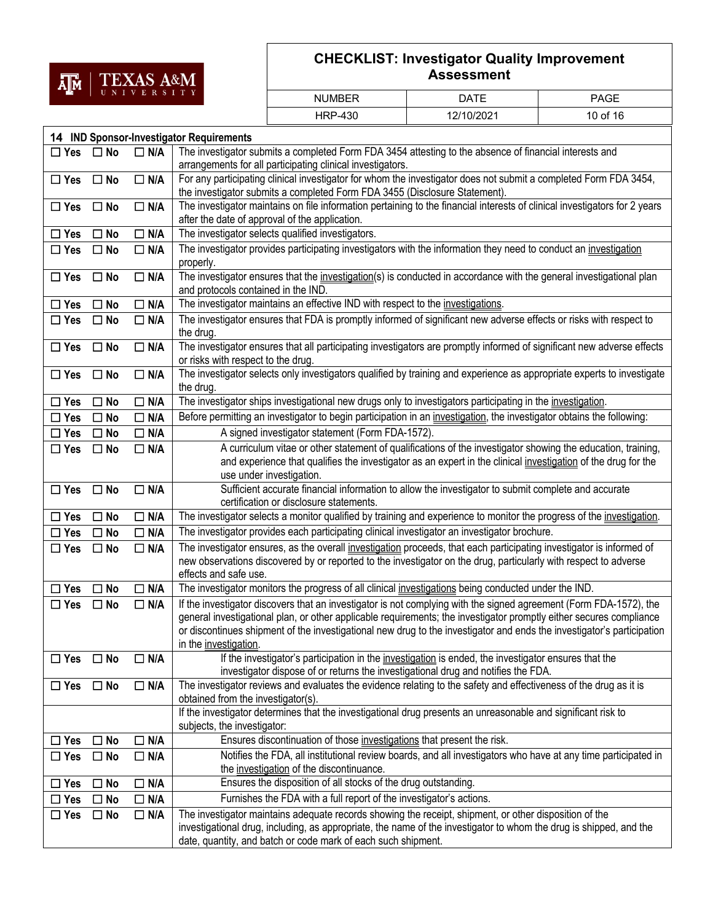

| <b>NUMBER</b>  | DATE       | <b>PAGE</b> |
|----------------|------------|-------------|
| <b>HRP-430</b> | 12/10/2021 | 10 of 16    |

|               |              |            | 14 IND Sponsor-Investigator Requirements                                                                                                                                                                                                                                                                                                                                                     |
|---------------|--------------|------------|----------------------------------------------------------------------------------------------------------------------------------------------------------------------------------------------------------------------------------------------------------------------------------------------------------------------------------------------------------------------------------------------|
| $\Box$ Yes    | $\square$ No | $\Box$ N/A | The investigator submits a completed Form FDA 3454 attesting to the absence of financial interests and                                                                                                                                                                                                                                                                                       |
|               |              |            | arrangements for all participating clinical investigators.                                                                                                                                                                                                                                                                                                                                   |
| $\Box$ Yes    | $\Box$ No    | $\Box$ N/A | For any participating clinical investigator for whom the investigator does not submit a completed Form FDA 3454,<br>the investigator submits a completed Form FDA 3455 (Disclosure Statement).                                                                                                                                                                                               |
| $\Box$ Yes    | $\square$ No | $\Box$ N/A | The investigator maintains on file information pertaining to the financial interests of clinical investigators for 2 years<br>after the date of approval of the application.                                                                                                                                                                                                                 |
| $\Box$ Yes    | $\Box$ No    | $\Box$ N/A | The investigator selects qualified investigators.                                                                                                                                                                                                                                                                                                                                            |
| $\Box$ Yes    | $\square$ No | $\Box$ N/A | The investigator provides participating investigators with the information they need to conduct an investigation<br>properly.                                                                                                                                                                                                                                                                |
| $\Box$ Yes    | $\Box$ No    | $\Box$ N/A | The investigator ensures that the investigation(s) is conducted in accordance with the general investigational plan<br>and protocols contained in the IND.                                                                                                                                                                                                                                   |
| $\Box$ Yes    | $\square$ No | $\Box$ N/A | The investigator maintains an effective IND with respect to the investigations.                                                                                                                                                                                                                                                                                                              |
| $\Box$ Yes    | $\square$ No | $\Box$ N/A | The investigator ensures that FDA is promptly informed of significant new adverse effects or risks with respect to<br>the drug.                                                                                                                                                                                                                                                              |
| $\square$ Yes | $\square$ No | $\Box$ N/A | The investigator ensures that all participating investigators are promptly informed of significant new adverse effects<br>or risks with respect to the drug.                                                                                                                                                                                                                                 |
| $\Box$ Yes    | $\Box$ No    | $\Box$ N/A | The investigator selects only investigators qualified by training and experience as appropriate experts to investigate<br>the drug.                                                                                                                                                                                                                                                          |
| $\Box$ Yes    | $\Box$ No    | $\Box$ N/A | The investigator ships investigational new drugs only to investigators participating in the <i>investigation</i> .                                                                                                                                                                                                                                                                           |
| $\Box$ Yes    | $\square$ No | $\Box$ N/A | Before permitting an investigator to begin participation in an investigation, the investigator obtains the following:                                                                                                                                                                                                                                                                        |
| $\Box$ Yes    | $\square$ No | $\Box$ N/A | A signed investigator statement (Form FDA-1572).                                                                                                                                                                                                                                                                                                                                             |
| $\Box$ Yes    | $\Box$ No    | $\Box$ N/A | A curriculum vitae or other statement of qualifications of the investigator showing the education, training,                                                                                                                                                                                                                                                                                 |
|               |              |            | and experience that qualifies the investigator as an expert in the clinical investigation of the drug for the<br>use under investigation.                                                                                                                                                                                                                                                    |
| $\Box$ Yes    | $\Box$ No    | $\Box$ N/A | Sufficient accurate financial information to allow the investigator to submit complete and accurate<br>certification or disclosure statements.                                                                                                                                                                                                                                               |
| $\Box$ Yes    | $\Box$ No    | $\Box$ N/A | The investigator selects a monitor qualified by training and experience to monitor the progress of the investigation.                                                                                                                                                                                                                                                                        |
| $\Box$ Yes    | $\square$ No | $\Box$ N/A | The investigator provides each participating clinical investigator an investigator brochure.                                                                                                                                                                                                                                                                                                 |
| $\Box$ Yes    | $\square$ No | $\Box$ N/A | The investigator ensures, as the overall investigation proceeds, that each participating investigator is informed of<br>new observations discovered by or reported to the investigator on the drug, particularly with respect to adverse<br>effects and safe use.                                                                                                                            |
| $\square$ Yes | $\square$ No | $\Box$ N/A | The investigator monitors the progress of all clinical investigations being conducted under the IND.                                                                                                                                                                                                                                                                                         |
| $\Box$ Yes    | $\Box$ No    | $\Box$ N/A | If the investigator discovers that an investigator is not complying with the signed agreement (Form FDA-1572), the<br>general investigational plan, or other applicable requirements; the investigator promptly either secures compliance<br>or discontinues shipment of the investigational new drug to the investigator and ends the investigator's participation<br>in the investigation. |
| $\Box$ Yes    | $\Box$ No    | $\Box$ N/A | If the investigator's participation in the investigation is ended, the investigator ensures that the<br>investigator dispose of or returns the investigational drug and notifies the FDA.                                                                                                                                                                                                    |
| $\Box$ Yes    | $\Box$ No    | $\Box$ N/A | The investigator reviews and evaluates the evidence relating to the safety and effectiveness of the drug as it is<br>obtained from the investigator(s).                                                                                                                                                                                                                                      |
|               |              |            | If the investigator determines that the investigational drug presents an unreasonable and significant risk to<br>subjects, the investigator:                                                                                                                                                                                                                                                 |
| $\Box$ Yes    | $\square$ No | $\Box$ N/A | Ensures discontinuation of those investigations that present the risk.                                                                                                                                                                                                                                                                                                                       |
| $\Box$ Yes    | $\square$ No | $\Box$ N/A | Notifies the FDA, all institutional review boards, and all investigators who have at any time participated in<br>the investigation of the discontinuance.                                                                                                                                                                                                                                    |
| $\Box$ Yes    | $\Box$ No    | $\Box$ N/A | Ensures the disposition of all stocks of the drug outstanding.                                                                                                                                                                                                                                                                                                                               |
| $\Box$ Yes    | $\Box$ No    | $\Box$ N/A | Furnishes the FDA with a full report of the investigator's actions.                                                                                                                                                                                                                                                                                                                          |
| $\square$ Yes | $\square$ No | $\Box$ N/A | The investigator maintains adequate records showing the receipt, shipment, or other disposition of the<br>investigational drug, including, as appropriate, the name of the investigator to whom the drug is shipped, and the<br>date, quantity, and batch or code mark of each such shipment.                                                                                                |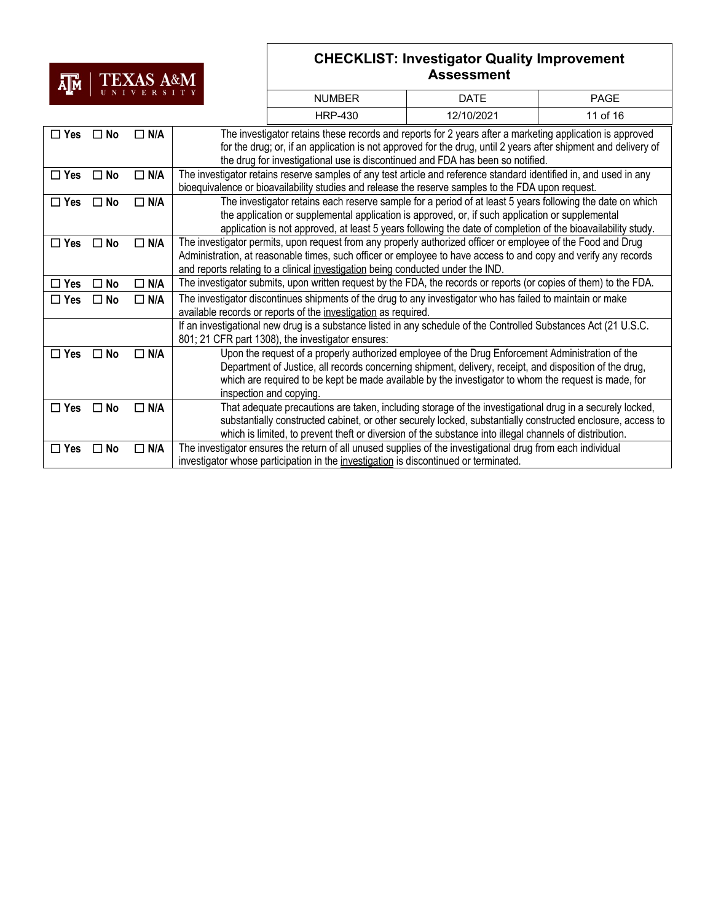## **TM** | TEXAS A&M

| и <mark>и</mark> |              |               |  |                                                                                                                    |             |             |  |  |  |  |
|------------------|--------------|---------------|--|--------------------------------------------------------------------------------------------------------------------|-------------|-------------|--|--|--|--|
|                  | UNIVERSITY   |               |  | <b>NUMBER</b>                                                                                                      | <b>DATE</b> | <b>PAGE</b> |  |  |  |  |
|                  |              |               |  | <b>HRP-430</b>                                                                                                     | 12/10/2021  | 11 of 16    |  |  |  |  |
| $\square$ Yes    | $\square$ No | N/A           |  | The investigator retains these records and reports for 2 years after a marketing application is approved           |             |             |  |  |  |  |
|                  |              |               |  | for the drug; or, if an application is not approved for the drug, until 2 years after shipment and delivery of     |             |             |  |  |  |  |
|                  |              |               |  | the drug for investigational use is discontinued and FDA has been so notified.                                     |             |             |  |  |  |  |
| $\Box$ Yes       | $\Box$ No    | $\Box$ N/A    |  | The investigator retains reserve samples of any test article and reference standard identified in, and used in any |             |             |  |  |  |  |
|                  |              |               |  | bioequivalence or bioavailability studies and release the reserve samples to the FDA upon request.                 |             |             |  |  |  |  |
| $\Box$ Yes       | $\Box$ No    | N/A           |  | The investigator retains each reserve sample for a period of at least 5 years following the date on which          |             |             |  |  |  |  |
|                  |              |               |  | the application or supplemental application is approved, or, if such application or supplemental                   |             |             |  |  |  |  |
|                  |              |               |  | application is not approved, at least 5 years following the date of completion of the bioavailability study.       |             |             |  |  |  |  |
| $\Box$ Yes       | $\Box$ No    | N/A           |  | The investigator permits, upon request from any properly authorized officer or employee of the Food and Drug       |             |             |  |  |  |  |
|                  |              |               |  | Administration, at reasonable times, such officer or employee to have access to and copy and verify any records    |             |             |  |  |  |  |
|                  |              |               |  | and reports relating to a clinical investigation being conducted under the IND.                                    |             |             |  |  |  |  |
| $\square$ Yes    | No<br>П      | N/A           |  | The investigator submits, upon written request by the FDA, the records or reports (or copies of them) to the FDA.  |             |             |  |  |  |  |
| $\Box$ Yes       | □ No         | $\Box$ N/A    |  | The investigator discontinues shipments of the drug to any investigator who has failed to maintain or make         |             |             |  |  |  |  |
|                  |              |               |  | available records or reports of the investigation as required.                                                     |             |             |  |  |  |  |
|                  |              |               |  | If an investigational new drug is a substance listed in any schedule of the Controlled Substances Act (21 U.S.C.   |             |             |  |  |  |  |
|                  |              |               |  | 801; 21 CFR part 1308), the investigator ensures:                                                                  |             |             |  |  |  |  |
| $\square$ Yes    | No<br>П      | $\Box$ N/A    |  | Upon the request of a properly authorized employee of the Drug Enforcement Administration of the                   |             |             |  |  |  |  |
|                  |              |               |  | Department of Justice, all records concerning shipment, delivery, receipt, and disposition of the drug,            |             |             |  |  |  |  |
|                  |              |               |  | which are required to be kept be made available by the investigator to whom the request is made, for               |             |             |  |  |  |  |
|                  |              |               |  | inspection and copying.                                                                                            |             |             |  |  |  |  |
| $\Box$ Yes       | $\square$ No | $\square$ N/A |  | That adequate precautions are taken, including storage of the investigational drug in a securely locked,           |             |             |  |  |  |  |
|                  |              |               |  | substantially constructed cabinet, or other securely locked, substantially constructed enclosure, access to        |             |             |  |  |  |  |
|                  |              |               |  | which is limited, to prevent theft or diversion of the substance into illegal channels of distribution.            |             |             |  |  |  |  |
| $\square$ Yes    | $\Box$ No    | $\square$ N/A |  | The investigator ensures the return of all unused supplies of the investigational drug from each individual        |             |             |  |  |  |  |
|                  |              |               |  | investigator whose participation in the investigation is discontinued or terminated.                               |             |             |  |  |  |  |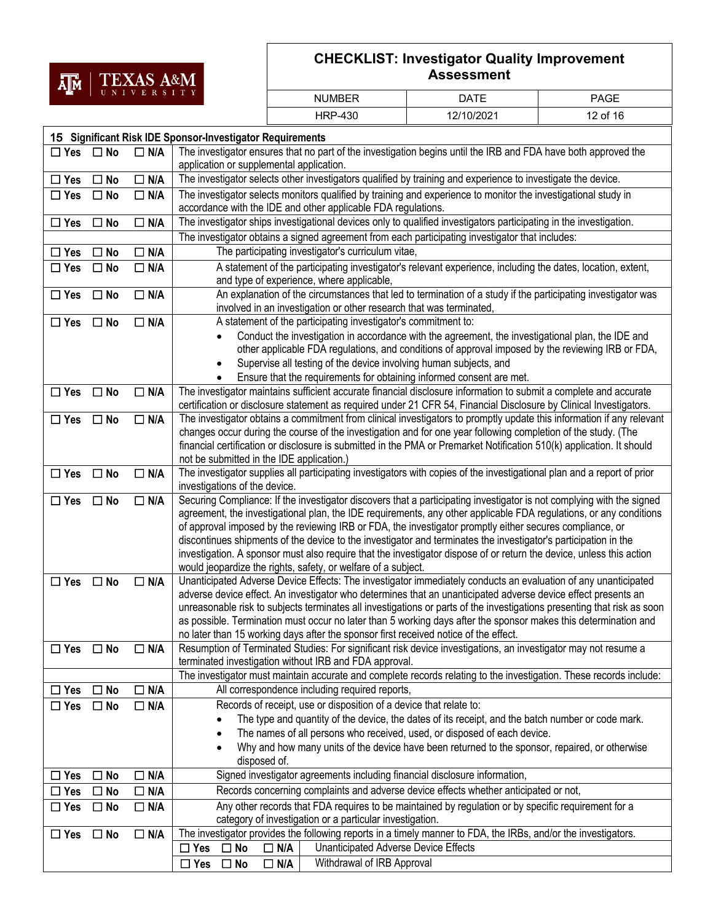

| <b>NUMBER</b>  | ר ATF      | PAGE     |
|----------------|------------|----------|
| <b>HRP-430</b> | 12/10/2021 | 12 of 16 |

| The investigator ensures that no part of the investigation begins until the IRB and FDA have both approved the<br>$\Box$ N/A<br>$\Box$ Yes $\Box$ No<br>application or supplemental application.<br>The investigator selects other investigators qualified by training and experience to investigate the device.<br>$\Box$ N/A<br>$\Box$ Yes<br>$\square$ No<br>The investigator selects monitors qualified by training and experience to monitor the investigational study in<br>$\Box$ Yes<br>$\square$ No<br>$\Box$ N/A<br>accordance with the IDE and other applicable FDA regulations.<br>The investigator ships investigational devices only to qualified investigators participating in the investigation.<br>$\Box$ N/A<br>$\Box$ Yes<br>$\square$ No<br>The investigator obtains a signed agreement from each participating investigator that includes:<br>The participating investigator's curriculum vitae,<br>$\Box$ N/A<br>$\Box$ Yes<br>$\square$ No<br>A statement of the participating investigator's relevant experience, including the dates, location, extent,<br>$\Box$ N/A<br>$\Box$ Yes<br>$\square$ No<br>and type of experience, where applicable,<br>An explanation of the circumstances that led to termination of a study if the participating investigator was<br>$\Box$ N/A<br>$\Box$ Yes<br>$\square$ No<br>involved in an investigation or other research that was terminated,<br>$\Box$ N/A<br>A statement of the participating investigator's commitment to:<br>$\Box$ Yes<br>$\square$ No<br>Conduct the investigation in accordance with the agreement, the investigational plan, the IDE and<br>other applicable FDA regulations, and conditions of approval imposed by the reviewing IRB or FDA,<br>Supervise all testing of the device involving human subjects, and<br>Ensure that the requirements for obtaining informed consent are met.<br>The investigator maintains sufficient accurate financial disclosure information to submit a complete and accurate<br>$\Box$ N/A<br>$\Box$ Yes<br>$\square$ No<br>certification or disclosure statement as required under 21 CFR 54, Financial Disclosure by Clinical Investigators.<br>The investigator obtains a commitment from clinical investigators to promptly update this information if any relevant<br>$\Box$ N/A<br>$\Box$ Yes<br>$\square$ No<br>changes occur during the course of the investigation and for one year following completion of the study. (The<br>financial certification or disclosure is submitted in the PMA or Premarket Notification 510(k) application. It should<br>not be submitted in the IDE application.)<br>The investigator supplies all participating investigators with copies of the investigational plan and a report of prior<br>$\Box$ Yes<br>$\square$ No<br>$\Box$ N/A<br>investigations of the device.<br>Securing Compliance: If the investigator discovers that a participating investigator is not complying with the signed<br>$\Box$ N/A<br>$\Box$ Yes<br>$\Box$ No<br>agreement, the investigational plan, the IDE requirements, any other applicable FDA regulations, or any conditions<br>of approval imposed by the reviewing IRB or FDA, the investigator promptly either secures compliance, or<br>discontinues shipments of the device to the investigator and terminates the investigator's participation in the<br>investigation. A sponsor must also require that the investigator dispose of or return the device, unless this action<br>would jeopardize the rights, safety, or welfare of a subject.<br>Unanticipated Adverse Device Effects: The investigator immediately conducts an evaluation of any unanticipated<br>$\Box$ Yes<br>$\square$ No<br>$\Box$ N/A<br>adverse device effect. An investigator who determines that an unanticipated adverse device effect presents an<br>unreasonable risk to subjects terminates all investigations or parts of the investigations presenting that risk as soon<br>as possible. Termination must occur no later than 5 working days after the sponsor makes this determination and<br>no later than 15 working days after the sponsor first received notice of the effect.<br>Resumption of Terminated Studies: For significant risk device investigations, an investigator may not resume a<br>$\Box$ N/A<br>$\square$ Yes<br>$\Box$ No<br>terminated investigation without IRB and FDA approval.<br>The investigator must maintain accurate and complete records relating to the investigation. These records include:<br>All correspondence including required reports,<br>$\Box$ N/A<br>$\square$ No<br>$\Box$ Yes<br>Records of receipt, use or disposition of a device that relate to:<br>$\Box$ Yes<br>$\square$ No<br>$\Box$ N/A<br>The type and quantity of the device, the dates of its receipt, and the batch number or code mark.<br>The names of all persons who received, used, or disposed of each device.<br>$\bullet$<br>Why and how many units of the device have been returned to the sponsor, repaired, or otherwise<br>disposed of.<br>Signed investigator agreements including financial disclosure information,<br>$\Box$ N/A<br>$\square$ No<br>$\Box$ Yes<br>Records concerning complaints and adverse device effects whether anticipated or not,<br>$\Box$ N/A<br>$\Box$ Yes<br>$\Box$ No<br>Any other records that FDA requires to be maintained by regulation or by specific requirement for a<br>$\Box$ N/A<br>$\Box$ Yes<br>$\square$ No<br>category of investigation or a particular investigation.<br>The investigator provides the following reports in a timely manner to FDA, the IRBs, and/or the investigators.<br>$\Box$ N/A<br>$\Box$ Yes<br>$\square$ No<br>Unanticipated Adverse Device Effects<br>$\Box$ No<br>$\Box$ N/A<br>$\Box$ Yes |  | 15 Significant Risk IDE Sponsor-Investigator Requirements |  |  |  |  |
|-------------------------------------------------------------------------------------------------------------------------------------------------------------------------------------------------------------------------------------------------------------------------------------------------------------------------------------------------------------------------------------------------------------------------------------------------------------------------------------------------------------------------------------------------------------------------------------------------------------------------------------------------------------------------------------------------------------------------------------------------------------------------------------------------------------------------------------------------------------------------------------------------------------------------------------------------------------------------------------------------------------------------------------------------------------------------------------------------------------------------------------------------------------------------------------------------------------------------------------------------------------------------------------------------------------------------------------------------------------------------------------------------------------------------------------------------------------------------------------------------------------------------------------------------------------------------------------------------------------------------------------------------------------------------------------------------------------------------------------------------------------------------------------------------------------------------------------------------------------------------------------------------------------------------------------------------------------------------------------------------------------------------------------------------------------------------------------------------------------------------------------------------------------------------------------------------------------------------------------------------------------------------------------------------------------------------------------------------------------------------------------------------------------------------------------------------------------------------------------------------------------------------------------------------------------------------------------------------------------------------------------------------------------------------------------------------------------------------------------------------------------------------------------------------------------------------------------------------------------------------------------------------------------------------------------------------------------------------------------------------------------------------------------------------------------------------------------------------------------------------------------------------------------------------------------------------------------------------------------------------------------------------------------------------------------------------------------------------------------------------------------------------------------------------------------------------------------------------------------------------------------------------------------------------------------------------------------------------------------------------------------------------------------------------------------------------------------------------------------------------------------------------------------------------------------------------------------------------------------------------------------------------------------------------------------------------------------------------------------------------------------------------------------------------------------------------------------------------------------------------------------------------------------------------------------------------------------------------------------------------------------------------------------------------------------------------------------------------------------------------------------------------------------------------------------------------------------------------------------------------------------------------------------------------------------------------------------------------------------------------------------------------------------------------------------------------------------------------------------------------------------------------------------------------------------------------------------------------------------------------------------------------------------------------------------------------------------------------------------------------------------------------------------------------------------------------------------------------------------------------------------------------------------------------------------------------------------------------------------------------------------------------------------------------------------------------------------------------------------------------------------------------------------------------------------------------------------------------------------------------------------------------------------------------------------------------------------------------------------------------------------------------------------------------------------------------------------------------------------------------------------------------------------------|--|-----------------------------------------------------------|--|--|--|--|
|                                                                                                                                                                                                                                                                                                                                                                                                                                                                                                                                                                                                                                                                                                                                                                                                                                                                                                                                                                                                                                                                                                                                                                                                                                                                                                                                                                                                                                                                                                                                                                                                                                                                                                                                                                                                                                                                                                                                                                                                                                                                                                                                                                                                                                                                                                                                                                                                                                                                                                                                                                                                                                                                                                                                                                                                                                                                                                                                                                                                                                                                                                                                                                                                                                                                                                                                                                                                                                                                                                                                                                                                                                                                                                                                                                                                                                                                                                                                                                                                                                                                                                                                                                                                                                                                                                                                                                                                                                                                                                                                                                                                                                                                                                                                                                                                                                                                                                                                                                                                                                                                                                                                                                                                                                                                                                                                                                                                                                                                                                                                                                                                                                                                                                                                                                                           |  |                                                           |  |  |  |  |
|                                                                                                                                                                                                                                                                                                                                                                                                                                                                                                                                                                                                                                                                                                                                                                                                                                                                                                                                                                                                                                                                                                                                                                                                                                                                                                                                                                                                                                                                                                                                                                                                                                                                                                                                                                                                                                                                                                                                                                                                                                                                                                                                                                                                                                                                                                                                                                                                                                                                                                                                                                                                                                                                                                                                                                                                                                                                                                                                                                                                                                                                                                                                                                                                                                                                                                                                                                                                                                                                                                                                                                                                                                                                                                                                                                                                                                                                                                                                                                                                                                                                                                                                                                                                                                                                                                                                                                                                                                                                                                                                                                                                                                                                                                                                                                                                                                                                                                                                                                                                                                                                                                                                                                                                                                                                                                                                                                                                                                                                                                                                                                                                                                                                                                                                                                                           |  |                                                           |  |  |  |  |
|                                                                                                                                                                                                                                                                                                                                                                                                                                                                                                                                                                                                                                                                                                                                                                                                                                                                                                                                                                                                                                                                                                                                                                                                                                                                                                                                                                                                                                                                                                                                                                                                                                                                                                                                                                                                                                                                                                                                                                                                                                                                                                                                                                                                                                                                                                                                                                                                                                                                                                                                                                                                                                                                                                                                                                                                                                                                                                                                                                                                                                                                                                                                                                                                                                                                                                                                                                                                                                                                                                                                                                                                                                                                                                                                                                                                                                                                                                                                                                                                                                                                                                                                                                                                                                                                                                                                                                                                                                                                                                                                                                                                                                                                                                                                                                                                                                                                                                                                                                                                                                                                                                                                                                                                                                                                                                                                                                                                                                                                                                                                                                                                                                                                                                                                                                                           |  |                                                           |  |  |  |  |
|                                                                                                                                                                                                                                                                                                                                                                                                                                                                                                                                                                                                                                                                                                                                                                                                                                                                                                                                                                                                                                                                                                                                                                                                                                                                                                                                                                                                                                                                                                                                                                                                                                                                                                                                                                                                                                                                                                                                                                                                                                                                                                                                                                                                                                                                                                                                                                                                                                                                                                                                                                                                                                                                                                                                                                                                                                                                                                                                                                                                                                                                                                                                                                                                                                                                                                                                                                                                                                                                                                                                                                                                                                                                                                                                                                                                                                                                                                                                                                                                                                                                                                                                                                                                                                                                                                                                                                                                                                                                                                                                                                                                                                                                                                                                                                                                                                                                                                                                                                                                                                                                                                                                                                                                                                                                                                                                                                                                                                                                                                                                                                                                                                                                                                                                                                                           |  |                                                           |  |  |  |  |
|                                                                                                                                                                                                                                                                                                                                                                                                                                                                                                                                                                                                                                                                                                                                                                                                                                                                                                                                                                                                                                                                                                                                                                                                                                                                                                                                                                                                                                                                                                                                                                                                                                                                                                                                                                                                                                                                                                                                                                                                                                                                                                                                                                                                                                                                                                                                                                                                                                                                                                                                                                                                                                                                                                                                                                                                                                                                                                                                                                                                                                                                                                                                                                                                                                                                                                                                                                                                                                                                                                                                                                                                                                                                                                                                                                                                                                                                                                                                                                                                                                                                                                                                                                                                                                                                                                                                                                                                                                                                                                                                                                                                                                                                                                                                                                                                                                                                                                                                                                                                                                                                                                                                                                                                                                                                                                                                                                                                                                                                                                                                                                                                                                                                                                                                                                                           |  |                                                           |  |  |  |  |
|                                                                                                                                                                                                                                                                                                                                                                                                                                                                                                                                                                                                                                                                                                                                                                                                                                                                                                                                                                                                                                                                                                                                                                                                                                                                                                                                                                                                                                                                                                                                                                                                                                                                                                                                                                                                                                                                                                                                                                                                                                                                                                                                                                                                                                                                                                                                                                                                                                                                                                                                                                                                                                                                                                                                                                                                                                                                                                                                                                                                                                                                                                                                                                                                                                                                                                                                                                                                                                                                                                                                                                                                                                                                                                                                                                                                                                                                                                                                                                                                                                                                                                                                                                                                                                                                                                                                                                                                                                                                                                                                                                                                                                                                                                                                                                                                                                                                                                                                                                                                                                                                                                                                                                                                                                                                                                                                                                                                                                                                                                                                                                                                                                                                                                                                                                                           |  |                                                           |  |  |  |  |
|                                                                                                                                                                                                                                                                                                                                                                                                                                                                                                                                                                                                                                                                                                                                                                                                                                                                                                                                                                                                                                                                                                                                                                                                                                                                                                                                                                                                                                                                                                                                                                                                                                                                                                                                                                                                                                                                                                                                                                                                                                                                                                                                                                                                                                                                                                                                                                                                                                                                                                                                                                                                                                                                                                                                                                                                                                                                                                                                                                                                                                                                                                                                                                                                                                                                                                                                                                                                                                                                                                                                                                                                                                                                                                                                                                                                                                                                                                                                                                                                                                                                                                                                                                                                                                                                                                                                                                                                                                                                                                                                                                                                                                                                                                                                                                                                                                                                                                                                                                                                                                                                                                                                                                                                                                                                                                                                                                                                                                                                                                                                                                                                                                                                                                                                                                                           |  |                                                           |  |  |  |  |
|                                                                                                                                                                                                                                                                                                                                                                                                                                                                                                                                                                                                                                                                                                                                                                                                                                                                                                                                                                                                                                                                                                                                                                                                                                                                                                                                                                                                                                                                                                                                                                                                                                                                                                                                                                                                                                                                                                                                                                                                                                                                                                                                                                                                                                                                                                                                                                                                                                                                                                                                                                                                                                                                                                                                                                                                                                                                                                                                                                                                                                                                                                                                                                                                                                                                                                                                                                                                                                                                                                                                                                                                                                                                                                                                                                                                                                                                                                                                                                                                                                                                                                                                                                                                                                                                                                                                                                                                                                                                                                                                                                                                                                                                                                                                                                                                                                                                                                                                                                                                                                                                                                                                                                                                                                                                                                                                                                                                                                                                                                                                                                                                                                                                                                                                                                                           |  |                                                           |  |  |  |  |
|                                                                                                                                                                                                                                                                                                                                                                                                                                                                                                                                                                                                                                                                                                                                                                                                                                                                                                                                                                                                                                                                                                                                                                                                                                                                                                                                                                                                                                                                                                                                                                                                                                                                                                                                                                                                                                                                                                                                                                                                                                                                                                                                                                                                                                                                                                                                                                                                                                                                                                                                                                                                                                                                                                                                                                                                                                                                                                                                                                                                                                                                                                                                                                                                                                                                                                                                                                                                                                                                                                                                                                                                                                                                                                                                                                                                                                                                                                                                                                                                                                                                                                                                                                                                                                                                                                                                                                                                                                                                                                                                                                                                                                                                                                                                                                                                                                                                                                                                                                                                                                                                                                                                                                                                                                                                                                                                                                                                                                                                                                                                                                                                                                                                                                                                                                                           |  |                                                           |  |  |  |  |
|                                                                                                                                                                                                                                                                                                                                                                                                                                                                                                                                                                                                                                                                                                                                                                                                                                                                                                                                                                                                                                                                                                                                                                                                                                                                                                                                                                                                                                                                                                                                                                                                                                                                                                                                                                                                                                                                                                                                                                                                                                                                                                                                                                                                                                                                                                                                                                                                                                                                                                                                                                                                                                                                                                                                                                                                                                                                                                                                                                                                                                                                                                                                                                                                                                                                                                                                                                                                                                                                                                                                                                                                                                                                                                                                                                                                                                                                                                                                                                                                                                                                                                                                                                                                                                                                                                                                                                                                                                                                                                                                                                                                                                                                                                                                                                                                                                                                                                                                                                                                                                                                                                                                                                                                                                                                                                                                                                                                                                                                                                                                                                                                                                                                                                                                                                                           |  |                                                           |  |  |  |  |
|                                                                                                                                                                                                                                                                                                                                                                                                                                                                                                                                                                                                                                                                                                                                                                                                                                                                                                                                                                                                                                                                                                                                                                                                                                                                                                                                                                                                                                                                                                                                                                                                                                                                                                                                                                                                                                                                                                                                                                                                                                                                                                                                                                                                                                                                                                                                                                                                                                                                                                                                                                                                                                                                                                                                                                                                                                                                                                                                                                                                                                                                                                                                                                                                                                                                                                                                                                                                                                                                                                                                                                                                                                                                                                                                                                                                                                                                                                                                                                                                                                                                                                                                                                                                                                                                                                                                                                                                                                                                                                                                                                                                                                                                                                                                                                                                                                                                                                                                                                                                                                                                                                                                                                                                                                                                                                                                                                                                                                                                                                                                                                                                                                                                                                                                                                                           |  |                                                           |  |  |  |  |
|                                                                                                                                                                                                                                                                                                                                                                                                                                                                                                                                                                                                                                                                                                                                                                                                                                                                                                                                                                                                                                                                                                                                                                                                                                                                                                                                                                                                                                                                                                                                                                                                                                                                                                                                                                                                                                                                                                                                                                                                                                                                                                                                                                                                                                                                                                                                                                                                                                                                                                                                                                                                                                                                                                                                                                                                                                                                                                                                                                                                                                                                                                                                                                                                                                                                                                                                                                                                                                                                                                                                                                                                                                                                                                                                                                                                                                                                                                                                                                                                                                                                                                                                                                                                                                                                                                                                                                                                                                                                                                                                                                                                                                                                                                                                                                                                                                                                                                                                                                                                                                                                                                                                                                                                                                                                                                                                                                                                                                                                                                                                                                                                                                                                                                                                                                                           |  |                                                           |  |  |  |  |
|                                                                                                                                                                                                                                                                                                                                                                                                                                                                                                                                                                                                                                                                                                                                                                                                                                                                                                                                                                                                                                                                                                                                                                                                                                                                                                                                                                                                                                                                                                                                                                                                                                                                                                                                                                                                                                                                                                                                                                                                                                                                                                                                                                                                                                                                                                                                                                                                                                                                                                                                                                                                                                                                                                                                                                                                                                                                                                                                                                                                                                                                                                                                                                                                                                                                                                                                                                                                                                                                                                                                                                                                                                                                                                                                                                                                                                                                                                                                                                                                                                                                                                                                                                                                                                                                                                                                                                                                                                                                                                                                                                                                                                                                                                                                                                                                                                                                                                                                                                                                                                                                                                                                                                                                                                                                                                                                                                                                                                                                                                                                                                                                                                                                                                                                                                                           |  |                                                           |  |  |  |  |
|                                                                                                                                                                                                                                                                                                                                                                                                                                                                                                                                                                                                                                                                                                                                                                                                                                                                                                                                                                                                                                                                                                                                                                                                                                                                                                                                                                                                                                                                                                                                                                                                                                                                                                                                                                                                                                                                                                                                                                                                                                                                                                                                                                                                                                                                                                                                                                                                                                                                                                                                                                                                                                                                                                                                                                                                                                                                                                                                                                                                                                                                                                                                                                                                                                                                                                                                                                                                                                                                                                                                                                                                                                                                                                                                                                                                                                                                                                                                                                                                                                                                                                                                                                                                                                                                                                                                                                                                                                                                                                                                                                                                                                                                                                                                                                                                                                                                                                                                                                                                                                                                                                                                                                                                                                                                                                                                                                                                                                                                                                                                                                                                                                                                                                                                                                                           |  |                                                           |  |  |  |  |
|                                                                                                                                                                                                                                                                                                                                                                                                                                                                                                                                                                                                                                                                                                                                                                                                                                                                                                                                                                                                                                                                                                                                                                                                                                                                                                                                                                                                                                                                                                                                                                                                                                                                                                                                                                                                                                                                                                                                                                                                                                                                                                                                                                                                                                                                                                                                                                                                                                                                                                                                                                                                                                                                                                                                                                                                                                                                                                                                                                                                                                                                                                                                                                                                                                                                                                                                                                                                                                                                                                                                                                                                                                                                                                                                                                                                                                                                                                                                                                                                                                                                                                                                                                                                                                                                                                                                                                                                                                                                                                                                                                                                                                                                                                                                                                                                                                                                                                                                                                                                                                                                                                                                                                                                                                                                                                                                                                                                                                                                                                                                                                                                                                                                                                                                                                                           |  |                                                           |  |  |  |  |
|                                                                                                                                                                                                                                                                                                                                                                                                                                                                                                                                                                                                                                                                                                                                                                                                                                                                                                                                                                                                                                                                                                                                                                                                                                                                                                                                                                                                                                                                                                                                                                                                                                                                                                                                                                                                                                                                                                                                                                                                                                                                                                                                                                                                                                                                                                                                                                                                                                                                                                                                                                                                                                                                                                                                                                                                                                                                                                                                                                                                                                                                                                                                                                                                                                                                                                                                                                                                                                                                                                                                                                                                                                                                                                                                                                                                                                                                                                                                                                                                                                                                                                                                                                                                                                                                                                                                                                                                                                                                                                                                                                                                                                                                                                                                                                                                                                                                                                                                                                                                                                                                                                                                                                                                                                                                                                                                                                                                                                                                                                                                                                                                                                                                                                                                                                                           |  |                                                           |  |  |  |  |
|                                                                                                                                                                                                                                                                                                                                                                                                                                                                                                                                                                                                                                                                                                                                                                                                                                                                                                                                                                                                                                                                                                                                                                                                                                                                                                                                                                                                                                                                                                                                                                                                                                                                                                                                                                                                                                                                                                                                                                                                                                                                                                                                                                                                                                                                                                                                                                                                                                                                                                                                                                                                                                                                                                                                                                                                                                                                                                                                                                                                                                                                                                                                                                                                                                                                                                                                                                                                                                                                                                                                                                                                                                                                                                                                                                                                                                                                                                                                                                                                                                                                                                                                                                                                                                                                                                                                                                                                                                                                                                                                                                                                                                                                                                                                                                                                                                                                                                                                                                                                                                                                                                                                                                                                                                                                                                                                                                                                                                                                                                                                                                                                                                                                                                                                                                                           |  |                                                           |  |  |  |  |
|                                                                                                                                                                                                                                                                                                                                                                                                                                                                                                                                                                                                                                                                                                                                                                                                                                                                                                                                                                                                                                                                                                                                                                                                                                                                                                                                                                                                                                                                                                                                                                                                                                                                                                                                                                                                                                                                                                                                                                                                                                                                                                                                                                                                                                                                                                                                                                                                                                                                                                                                                                                                                                                                                                                                                                                                                                                                                                                                                                                                                                                                                                                                                                                                                                                                                                                                                                                                                                                                                                                                                                                                                                                                                                                                                                                                                                                                                                                                                                                                                                                                                                                                                                                                                                                                                                                                                                                                                                                                                                                                                                                                                                                                                                                                                                                                                                                                                                                                                                                                                                                                                                                                                                                                                                                                                                                                                                                                                                                                                                                                                                                                                                                                                                                                                                                           |  |                                                           |  |  |  |  |
|                                                                                                                                                                                                                                                                                                                                                                                                                                                                                                                                                                                                                                                                                                                                                                                                                                                                                                                                                                                                                                                                                                                                                                                                                                                                                                                                                                                                                                                                                                                                                                                                                                                                                                                                                                                                                                                                                                                                                                                                                                                                                                                                                                                                                                                                                                                                                                                                                                                                                                                                                                                                                                                                                                                                                                                                                                                                                                                                                                                                                                                                                                                                                                                                                                                                                                                                                                                                                                                                                                                                                                                                                                                                                                                                                                                                                                                                                                                                                                                                                                                                                                                                                                                                                                                                                                                                                                                                                                                                                                                                                                                                                                                                                                                                                                                                                                                                                                                                                                                                                                                                                                                                                                                                                                                                                                                                                                                                                                                                                                                                                                                                                                                                                                                                                                                           |  |                                                           |  |  |  |  |
|                                                                                                                                                                                                                                                                                                                                                                                                                                                                                                                                                                                                                                                                                                                                                                                                                                                                                                                                                                                                                                                                                                                                                                                                                                                                                                                                                                                                                                                                                                                                                                                                                                                                                                                                                                                                                                                                                                                                                                                                                                                                                                                                                                                                                                                                                                                                                                                                                                                                                                                                                                                                                                                                                                                                                                                                                                                                                                                                                                                                                                                                                                                                                                                                                                                                                                                                                                                                                                                                                                                                                                                                                                                                                                                                                                                                                                                                                                                                                                                                                                                                                                                                                                                                                                                                                                                                                                                                                                                                                                                                                                                                                                                                                                                                                                                                                                                                                                                                                                                                                                                                                                                                                                                                                                                                                                                                                                                                                                                                                                                                                                                                                                                                                                                                                                                           |  |                                                           |  |  |  |  |
|                                                                                                                                                                                                                                                                                                                                                                                                                                                                                                                                                                                                                                                                                                                                                                                                                                                                                                                                                                                                                                                                                                                                                                                                                                                                                                                                                                                                                                                                                                                                                                                                                                                                                                                                                                                                                                                                                                                                                                                                                                                                                                                                                                                                                                                                                                                                                                                                                                                                                                                                                                                                                                                                                                                                                                                                                                                                                                                                                                                                                                                                                                                                                                                                                                                                                                                                                                                                                                                                                                                                                                                                                                                                                                                                                                                                                                                                                                                                                                                                                                                                                                                                                                                                                                                                                                                                                                                                                                                                                                                                                                                                                                                                                                                                                                                                                                                                                                                                                                                                                                                                                                                                                                                                                                                                                                                                                                                                                                                                                                                                                                                                                                                                                                                                                                                           |  |                                                           |  |  |  |  |
|                                                                                                                                                                                                                                                                                                                                                                                                                                                                                                                                                                                                                                                                                                                                                                                                                                                                                                                                                                                                                                                                                                                                                                                                                                                                                                                                                                                                                                                                                                                                                                                                                                                                                                                                                                                                                                                                                                                                                                                                                                                                                                                                                                                                                                                                                                                                                                                                                                                                                                                                                                                                                                                                                                                                                                                                                                                                                                                                                                                                                                                                                                                                                                                                                                                                                                                                                                                                                                                                                                                                                                                                                                                                                                                                                                                                                                                                                                                                                                                                                                                                                                                                                                                                                                                                                                                                                                                                                                                                                                                                                                                                                                                                                                                                                                                                                                                                                                                                                                                                                                                                                                                                                                                                                                                                                                                                                                                                                                                                                                                                                                                                                                                                                                                                                                                           |  |                                                           |  |  |  |  |
|                                                                                                                                                                                                                                                                                                                                                                                                                                                                                                                                                                                                                                                                                                                                                                                                                                                                                                                                                                                                                                                                                                                                                                                                                                                                                                                                                                                                                                                                                                                                                                                                                                                                                                                                                                                                                                                                                                                                                                                                                                                                                                                                                                                                                                                                                                                                                                                                                                                                                                                                                                                                                                                                                                                                                                                                                                                                                                                                                                                                                                                                                                                                                                                                                                                                                                                                                                                                                                                                                                                                                                                                                                                                                                                                                                                                                                                                                                                                                                                                                                                                                                                                                                                                                                                                                                                                                                                                                                                                                                                                                                                                                                                                                                                                                                                                                                                                                                                                                                                                                                                                                                                                                                                                                                                                                                                                                                                                                                                                                                                                                                                                                                                                                                                                                                                           |  |                                                           |  |  |  |  |
|                                                                                                                                                                                                                                                                                                                                                                                                                                                                                                                                                                                                                                                                                                                                                                                                                                                                                                                                                                                                                                                                                                                                                                                                                                                                                                                                                                                                                                                                                                                                                                                                                                                                                                                                                                                                                                                                                                                                                                                                                                                                                                                                                                                                                                                                                                                                                                                                                                                                                                                                                                                                                                                                                                                                                                                                                                                                                                                                                                                                                                                                                                                                                                                                                                                                                                                                                                                                                                                                                                                                                                                                                                                                                                                                                                                                                                                                                                                                                                                                                                                                                                                                                                                                                                                                                                                                                                                                                                                                                                                                                                                                                                                                                                                                                                                                                                                                                                                                                                                                                                                                                                                                                                                                                                                                                                                                                                                                                                                                                                                                                                                                                                                                                                                                                                                           |  |                                                           |  |  |  |  |
|                                                                                                                                                                                                                                                                                                                                                                                                                                                                                                                                                                                                                                                                                                                                                                                                                                                                                                                                                                                                                                                                                                                                                                                                                                                                                                                                                                                                                                                                                                                                                                                                                                                                                                                                                                                                                                                                                                                                                                                                                                                                                                                                                                                                                                                                                                                                                                                                                                                                                                                                                                                                                                                                                                                                                                                                                                                                                                                                                                                                                                                                                                                                                                                                                                                                                                                                                                                                                                                                                                                                                                                                                                                                                                                                                                                                                                                                                                                                                                                                                                                                                                                                                                                                                                                                                                                                                                                                                                                                                                                                                                                                                                                                                                                                                                                                                                                                                                                                                                                                                                                                                                                                                                                                                                                                                                                                                                                                                                                                                                                                                                                                                                                                                                                                                                                           |  |                                                           |  |  |  |  |
|                                                                                                                                                                                                                                                                                                                                                                                                                                                                                                                                                                                                                                                                                                                                                                                                                                                                                                                                                                                                                                                                                                                                                                                                                                                                                                                                                                                                                                                                                                                                                                                                                                                                                                                                                                                                                                                                                                                                                                                                                                                                                                                                                                                                                                                                                                                                                                                                                                                                                                                                                                                                                                                                                                                                                                                                                                                                                                                                                                                                                                                                                                                                                                                                                                                                                                                                                                                                                                                                                                                                                                                                                                                                                                                                                                                                                                                                                                                                                                                                                                                                                                                                                                                                                                                                                                                                                                                                                                                                                                                                                                                                                                                                                                                                                                                                                                                                                                                                                                                                                                                                                                                                                                                                                                                                                                                                                                                                                                                                                                                                                                                                                                                                                                                                                                                           |  |                                                           |  |  |  |  |
|                                                                                                                                                                                                                                                                                                                                                                                                                                                                                                                                                                                                                                                                                                                                                                                                                                                                                                                                                                                                                                                                                                                                                                                                                                                                                                                                                                                                                                                                                                                                                                                                                                                                                                                                                                                                                                                                                                                                                                                                                                                                                                                                                                                                                                                                                                                                                                                                                                                                                                                                                                                                                                                                                                                                                                                                                                                                                                                                                                                                                                                                                                                                                                                                                                                                                                                                                                                                                                                                                                                                                                                                                                                                                                                                                                                                                                                                                                                                                                                                                                                                                                                                                                                                                                                                                                                                                                                                                                                                                                                                                                                                                                                                                                                                                                                                                                                                                                                                                                                                                                                                                                                                                                                                                                                                                                                                                                                                                                                                                                                                                                                                                                                                                                                                                                                           |  |                                                           |  |  |  |  |
|                                                                                                                                                                                                                                                                                                                                                                                                                                                                                                                                                                                                                                                                                                                                                                                                                                                                                                                                                                                                                                                                                                                                                                                                                                                                                                                                                                                                                                                                                                                                                                                                                                                                                                                                                                                                                                                                                                                                                                                                                                                                                                                                                                                                                                                                                                                                                                                                                                                                                                                                                                                                                                                                                                                                                                                                                                                                                                                                                                                                                                                                                                                                                                                                                                                                                                                                                                                                                                                                                                                                                                                                                                                                                                                                                                                                                                                                                                                                                                                                                                                                                                                                                                                                                                                                                                                                                                                                                                                                                                                                                                                                                                                                                                                                                                                                                                                                                                                                                                                                                                                                                                                                                                                                                                                                                                                                                                                                                                                                                                                                                                                                                                                                                                                                                                                           |  |                                                           |  |  |  |  |
|                                                                                                                                                                                                                                                                                                                                                                                                                                                                                                                                                                                                                                                                                                                                                                                                                                                                                                                                                                                                                                                                                                                                                                                                                                                                                                                                                                                                                                                                                                                                                                                                                                                                                                                                                                                                                                                                                                                                                                                                                                                                                                                                                                                                                                                                                                                                                                                                                                                                                                                                                                                                                                                                                                                                                                                                                                                                                                                                                                                                                                                                                                                                                                                                                                                                                                                                                                                                                                                                                                                                                                                                                                                                                                                                                                                                                                                                                                                                                                                                                                                                                                                                                                                                                                                                                                                                                                                                                                                                                                                                                                                                                                                                                                                                                                                                                                                                                                                                                                                                                                                                                                                                                                                                                                                                                                                                                                                                                                                                                                                                                                                                                                                                                                                                                                                           |  |                                                           |  |  |  |  |
|                                                                                                                                                                                                                                                                                                                                                                                                                                                                                                                                                                                                                                                                                                                                                                                                                                                                                                                                                                                                                                                                                                                                                                                                                                                                                                                                                                                                                                                                                                                                                                                                                                                                                                                                                                                                                                                                                                                                                                                                                                                                                                                                                                                                                                                                                                                                                                                                                                                                                                                                                                                                                                                                                                                                                                                                                                                                                                                                                                                                                                                                                                                                                                                                                                                                                                                                                                                                                                                                                                                                                                                                                                                                                                                                                                                                                                                                                                                                                                                                                                                                                                                                                                                                                                                                                                                                                                                                                                                                                                                                                                                                                                                                                                                                                                                                                                                                                                                                                                                                                                                                                                                                                                                                                                                                                                                                                                                                                                                                                                                                                                                                                                                                                                                                                                                           |  |                                                           |  |  |  |  |
|                                                                                                                                                                                                                                                                                                                                                                                                                                                                                                                                                                                                                                                                                                                                                                                                                                                                                                                                                                                                                                                                                                                                                                                                                                                                                                                                                                                                                                                                                                                                                                                                                                                                                                                                                                                                                                                                                                                                                                                                                                                                                                                                                                                                                                                                                                                                                                                                                                                                                                                                                                                                                                                                                                                                                                                                                                                                                                                                                                                                                                                                                                                                                                                                                                                                                                                                                                                                                                                                                                                                                                                                                                                                                                                                                                                                                                                                                                                                                                                                                                                                                                                                                                                                                                                                                                                                                                                                                                                                                                                                                                                                                                                                                                                                                                                                                                                                                                                                                                                                                                                                                                                                                                                                                                                                                                                                                                                                                                                                                                                                                                                                                                                                                                                                                                                           |  |                                                           |  |  |  |  |
| Withdrawal of IRB Approval<br>$\Box$ Yes $\Box$ No<br>$\Box$ N/A                                                                                                                                                                                                                                                                                                                                                                                                                                                                                                                                                                                                                                                                                                                                                                                                                                                                                                                                                                                                                                                                                                                                                                                                                                                                                                                                                                                                                                                                                                                                                                                                                                                                                                                                                                                                                                                                                                                                                                                                                                                                                                                                                                                                                                                                                                                                                                                                                                                                                                                                                                                                                                                                                                                                                                                                                                                                                                                                                                                                                                                                                                                                                                                                                                                                                                                                                                                                                                                                                                                                                                                                                                                                                                                                                                                                                                                                                                                                                                                                                                                                                                                                                                                                                                                                                                                                                                                                                                                                                                                                                                                                                                                                                                                                                                                                                                                                                                                                                                                                                                                                                                                                                                                                                                                                                                                                                                                                                                                                                                                                                                                                                                                                                                                          |  |                                                           |  |  |  |  |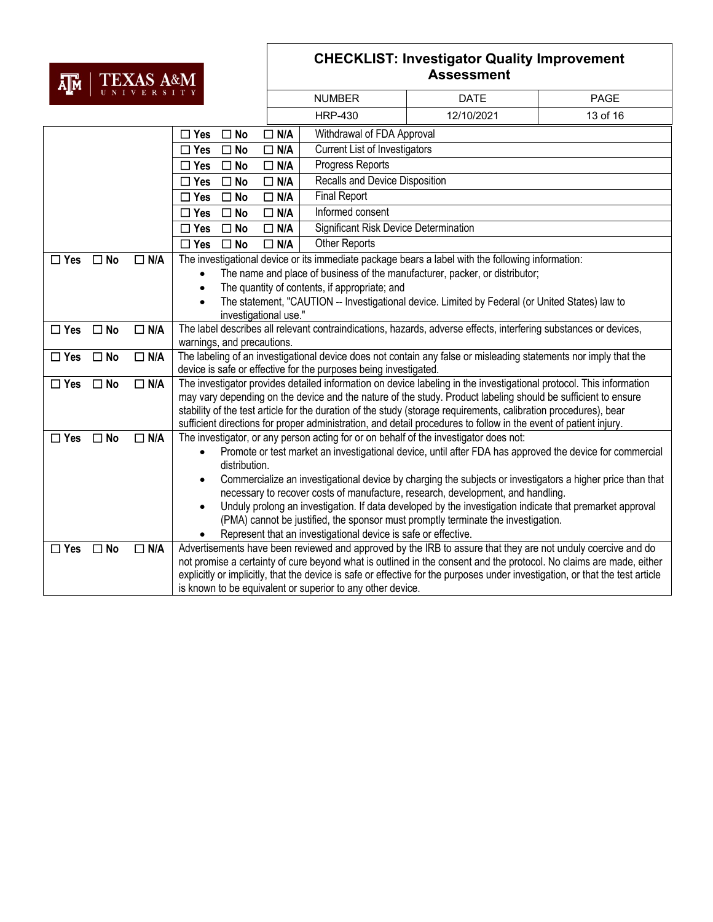### **TR** | TEXAS A&M

| А∥м                                      |              |            |                                                                                                                                                                                                                                      |                                                                                                              |                                       |                                                                                                                               |          |  |
|------------------------------------------|--------------|------------|--------------------------------------------------------------------------------------------------------------------------------------------------------------------------------------------------------------------------------------|--------------------------------------------------------------------------------------------------------------|---------------------------------------|-------------------------------------------------------------------------------------------------------------------------------|----------|--|
| UNIVERSITY                               |              |            |                                                                                                                                                                                                                                      | <b>NUMBER</b>                                                                                                | <b>DATE</b>                           | <b>PAGE</b>                                                                                                                   |          |  |
|                                          |              |            |                                                                                                                                                                                                                                      |                                                                                                              | <b>HRP-430</b>                        | 12/10/2021                                                                                                                    | 13 of 16 |  |
| $\Box$ N/A<br>$\Box$ Yes<br>$\square$ No |              |            |                                                                                                                                                                                                                                      |                                                                                                              | Withdrawal of FDA Approval            |                                                                                                                               |          |  |
|                                          |              |            | $\Box$ Yes<br>$\square$ No                                                                                                                                                                                                           | $\Box$ N/A                                                                                                   | <b>Current List of Investigators</b>  |                                                                                                                               |          |  |
| $\square$ No<br>$\Box$ Yes               |              |            | $\Box$ N/A                                                                                                                                                                                                                           | Progress Reports                                                                                             |                                       |                                                                                                                               |          |  |
| $\Box$ Yes<br>$\square$ No               |              |            |                                                                                                                                                                                                                                      | $\Box$ N/A                                                                                                   | Recalls and Device Disposition        |                                                                                                                               |          |  |
| $\Box$ Yes<br>$\square$ No               |              |            | $\Box$ N/A                                                                                                                                                                                                                           | <b>Final Report</b>                                                                                          |                                       |                                                                                                                               |          |  |
|                                          |              |            | $\Box$ Yes<br>$\square$ No                                                                                                                                                                                                           | $\square$ N/A                                                                                                | Informed consent                      |                                                                                                                               |          |  |
|                                          |              |            | $\Box$ Yes<br>$\square$ No                                                                                                                                                                                                           | $\Box$ N/A                                                                                                   | Significant Risk Device Determination |                                                                                                                               |          |  |
|                                          |              |            | $\square$ Yes<br>$\square$ No                                                                                                                                                                                                        | $\Box$ N/A                                                                                                   | <b>Other Reports</b>                  |                                                                                                                               |          |  |
| $\Box$ Yes                               | $\Box$ No    | $\Box$ N/A |                                                                                                                                                                                                                                      |                                                                                                              |                                       | The investigational device or its immediate package bears a label with the following information:                             |          |  |
|                                          |              |            | $\bullet$                                                                                                                                                                                                                            |                                                                                                              |                                       | The name and place of business of the manufacturer, packer, or distributor;                                                   |          |  |
|                                          |              |            |                                                                                                                                                                                                                                      | The quantity of contents, if appropriate; and                                                                |                                       |                                                                                                                               |          |  |
|                                          |              |            | The statement, "CAUTION -- Investigational device. Limited by Federal (or United States) law to<br>investigational use."                                                                                                             |                                                                                                              |                                       |                                                                                                                               |          |  |
| $\Box$ Yes                               | $\square$ No | $\Box$ N/A |                                                                                                                                                                                                                                      |                                                                                                              |                                       | The label describes all relevant contraindications, hazards, adverse effects, interfering substances or devices,              |          |  |
|                                          |              |            |                                                                                                                                                                                                                                      | warnings, and precautions.                                                                                   |                                       |                                                                                                                               |          |  |
| $\square$ Yes                            | $\square$ No | $\Box$ N/A |                                                                                                                                                                                                                                      |                                                                                                              |                                       | The labeling of an investigational device does not contain any false or misleading statements nor imply that the              |          |  |
|                                          |              |            | device is safe or effective for the purposes being investigated.                                                                                                                                                                     |                                                                                                              |                                       |                                                                                                                               |          |  |
| $\Box$ Yes                               | $\square$ No | $\Box$ N/A | The investigator provides detailed information on device labeling in the investigational protocol. This information<br>may vary depending on the device and the nature of the study. Product labeling should be sufficient to ensure |                                                                                                              |                                       |                                                                                                                               |          |  |
|                                          |              |            | stability of the test article for the duration of the study (storage requirements, calibration procedures), bear                                                                                                                     |                                                                                                              |                                       |                                                                                                                               |          |  |
|                                          |              |            | sufficient directions for proper administration, and detail procedures to follow in the event of patient injury.                                                                                                                     |                                                                                                              |                                       |                                                                                                                               |          |  |
| $\Box$ Yes                               | $\square$ No | $\Box$ N/A |                                                                                                                                                                                                                                      |                                                                                                              |                                       | The investigator, or any person acting for or on behalf of the investigator does not:                                         |          |  |
|                                          |              |            | Promote or test market an investigational device, until after FDA has approved the device for commercial                                                                                                                             |                                                                                                              |                                       |                                                                                                                               |          |  |
|                                          |              |            | distribution.                                                                                                                                                                                                                        |                                                                                                              |                                       |                                                                                                                               |          |  |
|                                          |              |            | Commercialize an investigational device by charging the subjects or investigators a higher price than that                                                                                                                           |                                                                                                              |                                       |                                                                                                                               |          |  |
|                                          |              |            | necessary to recover costs of manufacture, research, development, and handling.<br>Unduly prolong an investigation. If data developed by the investigation indicate that premarket approval                                          |                                                                                                              |                                       |                                                                                                                               |          |  |
|                                          |              |            | (PMA) cannot be justified, the sponsor must promptly terminate the investigation.                                                                                                                                                    |                                                                                                              |                                       |                                                                                                                               |          |  |
|                                          |              |            | Represent that an investigational device is safe or effective.                                                                                                                                                                       |                                                                                                              |                                       |                                                                                                                               |          |  |
| $\Box$ Yes                               | $\square$ No | $\Box$ N/A |                                                                                                                                                                                                                                      | Advertisements have been reviewed and approved by the IRB to assure that they are not unduly coercive and do |                                       |                                                                                                                               |          |  |
|                                          |              |            |                                                                                                                                                                                                                                      |                                                                                                              |                                       | not promise a certainty of cure beyond what is outlined in the consent and the protocol. No claims are made, either           |          |  |
|                                          |              |            |                                                                                                                                                                                                                                      |                                                                                                              |                                       | explicitly or implicitly, that the device is safe or effective for the purposes under investigation, or that the test article |          |  |
|                                          |              |            | is known to be equivalent or superior to any other device.                                                                                                                                                                           |                                                                                                              |                                       |                                                                                                                               |          |  |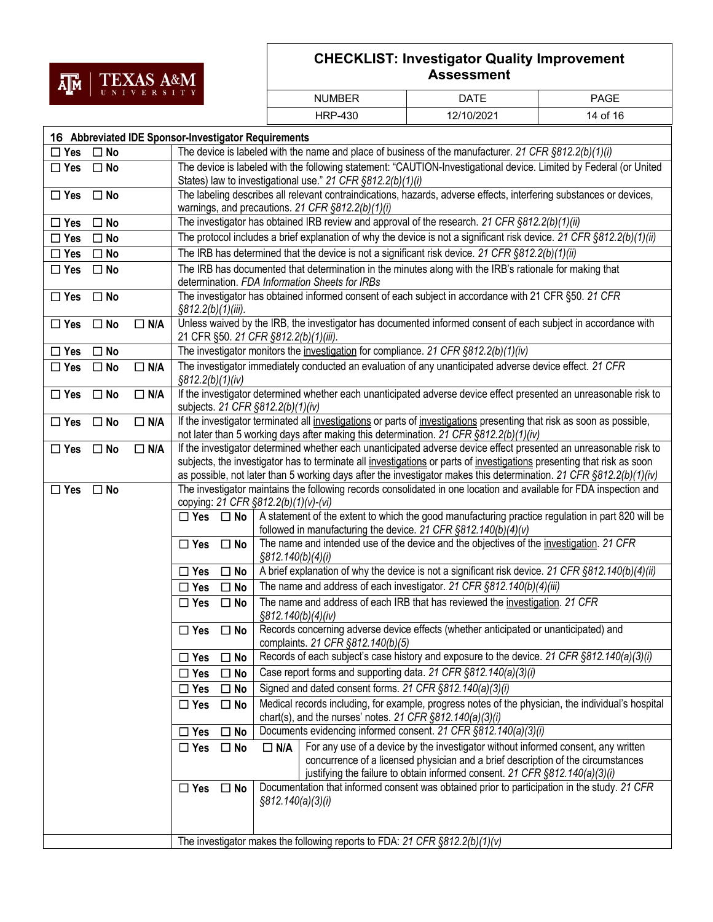

| <b>NUMBER</b>  | ר ATF      | <b>PAGE</b> |
|----------------|------------|-------------|
| <b>HRP-430</b> | 12/10/2021 | 14 of 16    |

| 16 Abbreviated IDE Sponsor-Investigator Requirements |                                                                                                                                                                                                                                                                                                                                                                    |  |  |  |  |
|------------------------------------------------------|--------------------------------------------------------------------------------------------------------------------------------------------------------------------------------------------------------------------------------------------------------------------------------------------------------------------------------------------------------------------|--|--|--|--|
| $\Box$ No<br>$\square$ Yes                           | The device is labeled with the name and place of business of the manufacturer. 21 CFR $\S812.2(b)(1)(i)$                                                                                                                                                                                                                                                           |  |  |  |  |
| $\Box$ Yes<br>$\Box$ No                              | The device is labeled with the following statement: "CAUTION-Investigational device. Limited by Federal (or United<br>States) law to investigational use." 21 CFR §812.2(b)(1)(i)                                                                                                                                                                                  |  |  |  |  |
| $\Box$ Yes<br>$\square$ No                           | The labeling describes all relevant contraindications, hazards, adverse effects, interfering substances or devices,<br>warnings, and precautions. 21 CFR §812.2(b)(1)(i)                                                                                                                                                                                           |  |  |  |  |
| $\Box$ Yes<br>$\Box$ No                              | The investigator has obtained IRB review and approval of the research. 21 CFR §812.2(b)(1)(ii)                                                                                                                                                                                                                                                                     |  |  |  |  |
| $\Box$ Yes<br>$\square$ No                           | The protocol includes a brief explanation of why the device is not a significant risk device. 21 CFR §812.2(b)(1)(ii)                                                                                                                                                                                                                                              |  |  |  |  |
| $\Box$ Yes<br>$\square$ No                           | The IRB has determined that the device is not a significant risk device. 21 CFR §812.2(b)(1)(ii)                                                                                                                                                                                                                                                                   |  |  |  |  |
| $\Box$ Yes<br>$\Box$ No                              | The IRB has documented that determination in the minutes along with the IRB's rationale for making that<br>determination. FDA Information Sheets for IRBs                                                                                                                                                                                                          |  |  |  |  |
| $\Box$ Yes<br>$\square$ No                           | The investigator has obtained informed consent of each subject in accordance with 21 CFR §50. 21 CFR<br>§812.2(b)(1)(iii).                                                                                                                                                                                                                                         |  |  |  |  |
| $\Box$ Yes<br>$\Box$ No<br>$\Box$ N/A                | Unless waived by the IRB, the investigator has documented informed consent of each subject in accordance with<br>21 CFR §50. 21 CFR §812.2(b)(1)(iii).                                                                                                                                                                                                             |  |  |  |  |
| $\Box$ Yes<br>$\square$ No                           | The investigator monitors the investigation for compliance. 21 CFR §812.2(b)(1)(iv)                                                                                                                                                                                                                                                                                |  |  |  |  |
| $\Box$ Yes<br>$\Box$ No<br>$\Box$ N/A                | The investigator immediately conducted an evaluation of any unanticipated adverse device effect. 21 CFR<br>§812.2(b)(1)(iv)                                                                                                                                                                                                                                        |  |  |  |  |
| $\Box$ N/A<br>$\Box$ Yes<br>$\square$ No             | If the investigator determined whether each unanticipated adverse device effect presented an unreasonable risk to<br>subjects. 21 CFR §812.2(b)(1)(iv)                                                                                                                                                                                                             |  |  |  |  |
| $\Box$ N/A<br>$\Box$ Yes<br>$\Box$ No                | If the investigator terminated all investigations or parts of investigations presenting that risk as soon as possible,<br>not later than 5 working days after making this determination. 21 CFR §812.2(b)(1)(iv)                                                                                                                                                   |  |  |  |  |
| $\Box$ N/A<br>$\Box$ Yes<br>$\square$ No             | If the investigator determined whether each unanticipated adverse device effect presented an unreasonable risk to<br>subjects, the investigator has to terminate all investigations or parts of investigations presenting that risk as soon<br>as possible, not later than 5 working days after the investigator makes this determination. 21 CFR §812.2(b)(1)(iv) |  |  |  |  |
| $\Box$ Yes<br>$\Box$ No                              | The investigator maintains the following records consolidated in one location and available for FDA inspection and<br>copying: 21 CFR §812.2(b)(1)(v)-(vi)                                                                                                                                                                                                         |  |  |  |  |
|                                                      | A statement of the extent to which the good manufacturing practice regulation in part 820 will be<br>$\Box$ Yes $\Box$ No<br>followed in manufacturing the device. 21 CFR $\S812.140(b)(4)(v)$                                                                                                                                                                     |  |  |  |  |
|                                                      | The name and intended use of the device and the objectives of the investigation. 21 CFR<br>$\Box$ Yes<br>$\square$ No<br>§812.140(b)(4)(i)                                                                                                                                                                                                                         |  |  |  |  |
|                                                      | A brief explanation of why the device is not a significant risk device. 21 CFR §812.140(b)(4)(ii)<br>$\square$ Yes<br>$\square$ No                                                                                                                                                                                                                                 |  |  |  |  |
|                                                      | The name and address of each investigator. 21 CFR §812.140(b)(4)(iii)<br>$\Box$ Yes<br>$\square$ No                                                                                                                                                                                                                                                                |  |  |  |  |
|                                                      | The name and address of each IRB that has reviewed the investigation. 21 CFR<br>$\Box$ Yes<br>$\square$ No<br>§812.140(b)(4)(iv)                                                                                                                                                                                                                                   |  |  |  |  |
|                                                      | Records concerning adverse device effects (whether anticipated or unanticipated) and<br>$\Box$ Yes<br>$\square$ No<br>complaints. 21 CFR §812.140(b)(5)                                                                                                                                                                                                            |  |  |  |  |
|                                                      | Records of each subject's case history and exposure to the device. 21 CFR §812.140(a)(3)(i)<br>$\Box$ No<br>$\Box$ Yes                                                                                                                                                                                                                                             |  |  |  |  |
|                                                      | Case report forms and supporting data. 21 CFR §812.140(a)(3)(i)<br>$\Box$ Yes<br>$\square$ No                                                                                                                                                                                                                                                                      |  |  |  |  |
|                                                      | Signed and dated consent forms. 21 CFR §812.140(a)(3)(i)<br>$\Box$ Yes<br>$\square$ No                                                                                                                                                                                                                                                                             |  |  |  |  |
|                                                      | Medical records including, for example, progress notes of the physician, the individual's hospital<br>$\Box$ Yes<br>$\Box$ No<br>chart(s), and the nurses' notes. 21 CFR $\S812.140(a)(3)(i)$                                                                                                                                                                      |  |  |  |  |
|                                                      | Documents evidencing informed consent. 21 CFR §812.140(a)(3)(i)<br>$\Box$ Yes<br>$\square$ No                                                                                                                                                                                                                                                                      |  |  |  |  |
|                                                      | For any use of a device by the investigator without informed consent, any written<br>$\Box$ N/A<br>$\Box$ Yes<br>$\square$ No<br>concurrence of a licensed physician and a brief description of the circumstances<br>justifying the failure to obtain informed consent. 21 CFR §812.140(a)(3)(i)                                                                   |  |  |  |  |
|                                                      | Documentation that informed consent was obtained prior to participation in the study. 21 CFR<br>$\Box$ Yes<br>$\square$ No<br>§812.140(a)(3)(i)                                                                                                                                                                                                                    |  |  |  |  |
|                                                      | The investigator makes the following reports to FDA: 21 CFR $\S812.2(b)(1)(v)$                                                                                                                                                                                                                                                                                     |  |  |  |  |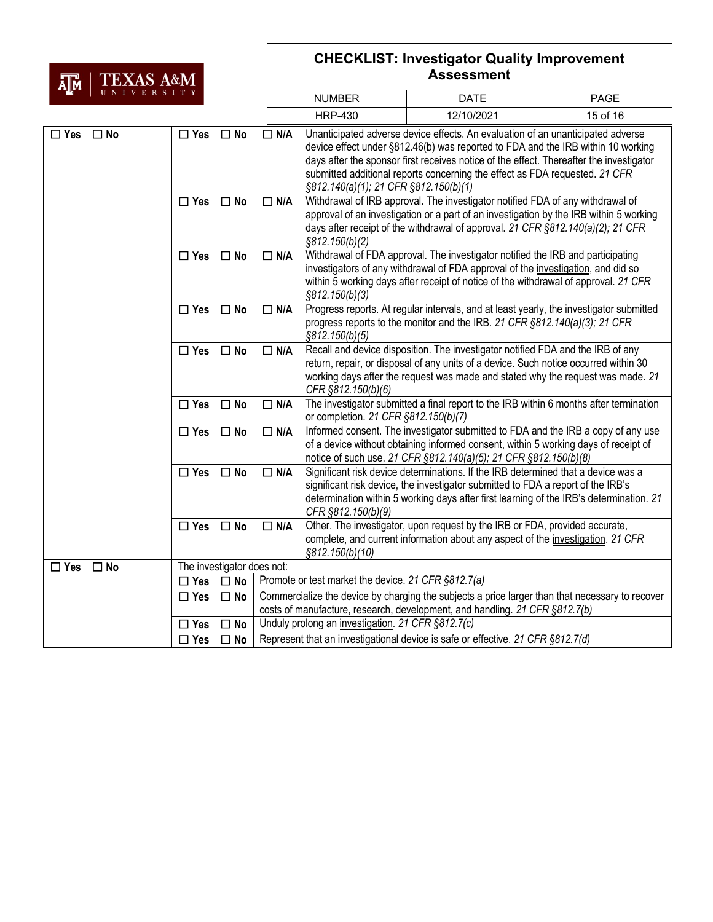## AM TEXAS A&M

| nik i<br>  UNIVERSITY         |                      |                            | <b>NUMBER</b>                                                                                                                                | <b>DATE</b>                                                                                                                                                                                                                                                                                                                                                                            | <b>PAGE</b>                                                                                                                                                                                                                                  |          |  |
|-------------------------------|----------------------|----------------------------|----------------------------------------------------------------------------------------------------------------------------------------------|----------------------------------------------------------------------------------------------------------------------------------------------------------------------------------------------------------------------------------------------------------------------------------------------------------------------------------------------------------------------------------------|----------------------------------------------------------------------------------------------------------------------------------------------------------------------------------------------------------------------------------------------|----------|--|
|                               |                      |                            |                                                                                                                                              | <b>HRP-430</b>                                                                                                                                                                                                                                                                                                                                                                         | 12/10/2021                                                                                                                                                                                                                                   | 15 of 16 |  |
| $\square$ Yes<br>$\square$ No | $\Box$ Yes           | $\square$ No               | $\Box$ N/A                                                                                                                                   | Unanticipated adverse device effects. An evaluation of an unanticipated adverse<br>device effect under §812.46(b) was reported to FDA and the IRB within 10 working<br>days after the sponsor first receives notice of the effect. Thereafter the investigator<br>submitted additional reports concerning the effect as FDA requested. 21 CFR<br>§812.140(a)(1); 21 CFR §812.150(b)(1) |                                                                                                                                                                                                                                              |          |  |
|                               | $\Box$ Yes           | $\square$ No               | $\Box$ N/A                                                                                                                                   | Withdrawal of IRB approval. The investigator notified FDA of any withdrawal of<br>approval of an investigation or a part of an investigation by the IRB within 5 working<br>days after receipt of the withdrawal of approval. 21 CFR §812.140(a)(2); 21 CFR<br>§812.150(b)(2)                                                                                                          |                                                                                                                                                                                                                                              |          |  |
|                               | $\Box$ Yes           | $\square$ No               | $\Box$ N/A                                                                                                                                   | Withdrawal of FDA approval. The investigator notified the IRB and participating<br>investigators of any withdrawal of FDA approval of the investigation, and did so<br>within 5 working days after receipt of notice of the withdrawal of approval. 21 CFR<br>§812.150(b)(3)                                                                                                           |                                                                                                                                                                                                                                              |          |  |
|                               | $\Box$ Yes $\Box$ No |                            | $\Box$ N/A                                                                                                                                   | Progress reports. At regular intervals, and at least yearly, the investigator submitted<br>progress reports to the monitor and the IRB. 21 CFR §812.140(a)(3); 21 CFR<br>§812.150(b)(5)                                                                                                                                                                                                |                                                                                                                                                                                                                                              |          |  |
|                               | $\Box$ Yes           | $\square$ No               | $\Box$ N/A                                                                                                                                   | Recall and device disposition. The investigator notified FDA and the IRB of any<br>return, repair, or disposal of any units of a device. Such notice occurred within 30<br>working days after the request was made and stated why the request was made. 21<br>CFR §812.150(b)(6)                                                                                                       |                                                                                                                                                                                                                                              |          |  |
|                               | $\Box$ Yes           | $\square$ No               | The investigator submitted a final report to the IRB within 6 months after termination<br>$\Box$ N/A<br>or completion. 21 CFR §812.150(b)(7) |                                                                                                                                                                                                                                                                                                                                                                                        |                                                                                                                                                                                                                                              |          |  |
|                               | $\Box$ Yes           | $\square$ No               | $\Box$ N/A                                                                                                                                   |                                                                                                                                                                                                                                                                                                                                                                                        | Informed consent. The investigator submitted to FDA and the IRB a copy of any use<br>of a device without obtaining informed consent, within 5 working days of receipt of<br>notice of such use. 21 CFR §812.140(a)(5); 21 CFR §812.150(b)(8) |          |  |
|                               | $\Box$ Yes           | $\square$ No               | $\Box$ N/A                                                                                                                                   | Significant risk device determinations. If the IRB determined that a device was a<br>significant risk device, the investigator submitted to FDA a report of the IRB's<br>determination within 5 working days after first learning of the IRB's determination. 21<br>CFR §812.150(b)(9)                                                                                                 |                                                                                                                                                                                                                                              |          |  |
|                               | $\Box$ Yes           | $\square$ No               | $\Box$ N/A                                                                                                                                   | §812.150(b)(10)                                                                                                                                                                                                                                                                                                                                                                        | Other. The investigator, upon request by the IRB or FDA, provided accurate,<br>complete, and current information about any aspect of the investigation. 21 CFR                                                                               |          |  |
| $\Box$ Yes<br>$\Box$ No       |                      | The investigator does not: |                                                                                                                                              |                                                                                                                                                                                                                                                                                                                                                                                        |                                                                                                                                                                                                                                              |          |  |
|                               | $\Box$ Yes           | $\square$ No               | Promote or test market the device. 21 CFR §812.7(a)                                                                                          |                                                                                                                                                                                                                                                                                                                                                                                        |                                                                                                                                                                                                                                              |          |  |
|                               | $\Box$ Yes           | $\square$ No               |                                                                                                                                              | Commercialize the device by charging the subjects a price larger than that necessary to recover<br>costs of manufacture, research, development, and handling. 21 CFR §812.7(b)                                                                                                                                                                                                         |                                                                                                                                                                                                                                              |          |  |
|                               | $\square$ Yes        | $\square$ No               |                                                                                                                                              | Unduly prolong an investigation. 21 CFR §812.7(c)                                                                                                                                                                                                                                                                                                                                      |                                                                                                                                                                                                                                              |          |  |
|                               | $\square$ Yes        | $\square$ No               | Represent that an investigational device is safe or effective. 21 CFR §812.7(d)                                                              |                                                                                                                                                                                                                                                                                                                                                                                        |                                                                                                                                                                                                                                              |          |  |